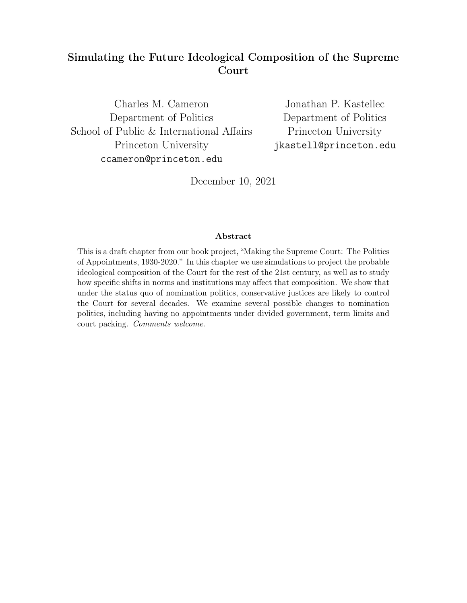# Simulating the Future Ideological Composition of the Supreme Court

Charles M. Cameron Department of Politics School of Public & International Affairs Princeton University ccameron@princeton.edu

Jonathan P. Kastellec Department of Politics Princeton University jkastell@princeton.edu

December 10, 2021

## Abstract

This is a draft chapter from our book project, "Making the Supreme Court: The Politics of Appointments, 1930-2020." In this chapter we use simulations to project the probable ideological composition of the Court for the rest of the 21st century, as well as to study how specific shifts in norms and institutions may affect that composition. We show that under the status quo of nomination politics, conservative justices are likely to control the Court for several decades. We examine several possible changes to nomination politics, including having no appointments under divided government, term limits and court packing. Comments welcome.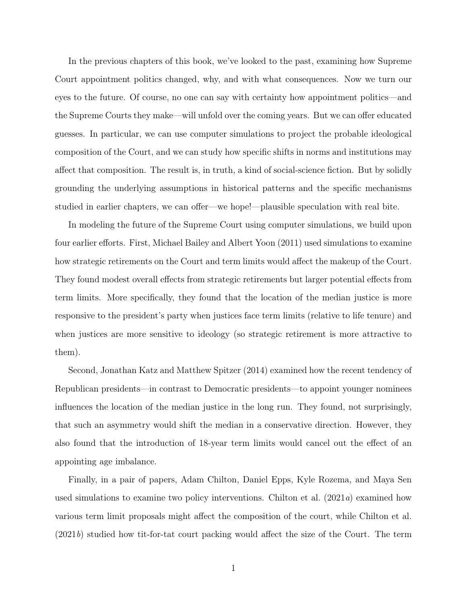In the previous chapters of this book, we've looked to the past, examining how Supreme Court appointment politics changed, why, and with what consequences. Now we turn our eyes to the future. Of course, no one can say with certainty how appointment politics—and the Supreme Courts they make—will unfold over the coming years. But we can offer educated guesses. In particular, we can use computer simulations to project the probable ideological composition of the Court, and we can study how specific shifts in norms and institutions may affect that composition. The result is, in truth, a kind of social-science fiction. But by solidly grounding the underlying assumptions in historical patterns and the specific mechanisms studied in earlier chapters, we can offer—we hope!—plausible speculation with real bite.

In modeling the future of the Supreme Court using computer simulations, we build upon four earlier efforts. First, Michael Bailey and Albert Yoon (2011) used simulations to examine how strategic retirements on the Court and term limits would affect the makeup of the Court. They found modest overall effects from strategic retirements but larger potential effects from term limits. More specifically, they found that the location of the median justice is more responsive to the president's party when justices face term limits (relative to life tenure) and when justices are more sensitive to ideology (so strategic retirement is more attractive to them).

Second, Jonathan Katz and Matthew Spitzer (2014) examined how the recent tendency of Republican presidents—in contrast to Democratic presidents—to appoint younger nominees influences the location of the median justice in the long run. They found, not surprisingly, that such an asymmetry would shift the median in a conservative direction. However, they also found that the introduction of 18-year term limits would cancel out the effect of an appointing age imbalance.

Finally, in a pair of papers, Adam Chilton, Daniel Epps, Kyle Rozema, and Maya Sen used simulations to examine two policy interventions. Chilton et al.  $(2021a)$  examined how various term limit proposals might affect the composition of the court, while Chilton et al. (2021b) studied how tit-for-tat court packing would affect the size of the Court. The term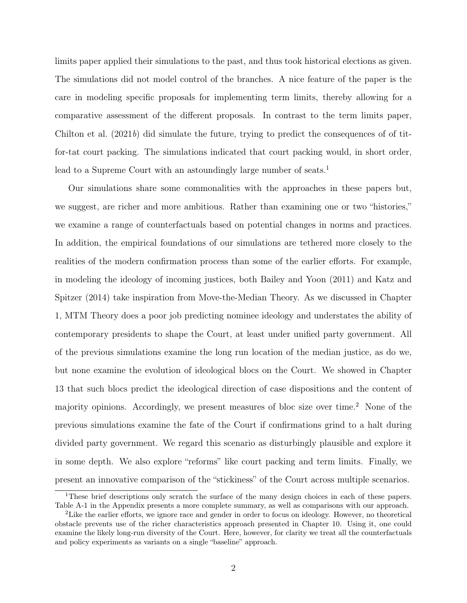limits paper applied their simulations to the past, and thus took historical elections as given. The simulations did not model control of the branches. A nice feature of the paper is the care in modeling specific proposals for implementing term limits, thereby allowing for a comparative assessment of the different proposals. In contrast to the term limits paper, Chilton et al. (2021b) did simulate the future, trying to predict the consequences of of titfor-tat court packing. The simulations indicated that court packing would, in short order, lead to a Supreme Court with an astoundingly large number of seats.<sup>1</sup>

Our simulations share some commonalities with the approaches in these papers but, we suggest, are richer and more ambitious. Rather than examining one or two "histories," we examine a range of counterfactuals based on potential changes in norms and practices. In addition, the empirical foundations of our simulations are tethered more closely to the realities of the modern confirmation process than some of the earlier efforts. For example, in modeling the ideology of incoming justices, both Bailey and Yoon (2011) and Katz and Spitzer (2014) take inspiration from Move-the-Median Theory. As we discussed in Chapter 1, MTM Theory does a poor job predicting nominee ideology and understates the ability of contemporary presidents to shape the Court, at least under unified party government. All of the previous simulations examine the long run location of the median justice, as do we, but none examine the evolution of ideological blocs on the Court. We showed in Chapter 13 that such blocs predict the ideological direction of case dispositions and the content of majority opinions. Accordingly, we present measures of bloc size over time.<sup>2</sup> None of the previous simulations examine the fate of the Court if confirmations grind to a halt during divided party government. We regard this scenario as disturbingly plausible and explore it in some depth. We also explore "reforms" like court packing and term limits. Finally, we present an innovative comparison of the "stickiness" of the Court across multiple scenarios.

<sup>1</sup>These brief descriptions only scratch the surface of the many design choices in each of these papers. Table A-1 in the Appendix presents a more complete summary, as well as comparisons with our approach.

<sup>2</sup>Like the earlier efforts, we ignore race and gender in order to focus on ideology. However, no theoretical obstacle prevents use of the richer characteristics approach presented in Chapter 10. Using it, one could examine the likely long-run diversity of the Court. Here, however, for clarity we treat all the counterfactuals and policy experiments as variants on a single "baseline" approach.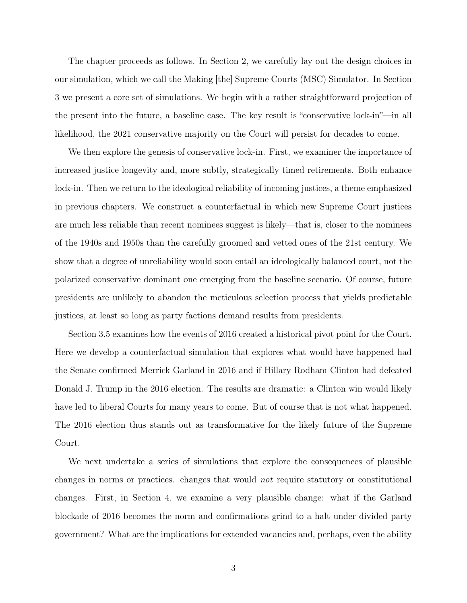The chapter proceeds as follows. In Section 2, we carefully lay out the design choices in our simulation, which we call the Making [the] Supreme Courts (MSC) Simulator. In Section 3 we present a core set of simulations. We begin with a rather straightforward projection of the present into the future, a baseline case. The key result is "conservative lock-in"—in all likelihood, the 2021 conservative majority on the Court will persist for decades to come.

We then explore the genesis of conservative lock-in. First, we examiner the importance of increased justice longevity and, more subtly, strategically timed retirements. Both enhance lock-in. Then we return to the ideological reliability of incoming justices, a theme emphasized in previous chapters. We construct a counterfactual in which new Supreme Court justices are much less reliable than recent nominees suggest is likely—that is, closer to the nominees of the 1940s and 1950s than the carefully groomed and vetted ones of the 21st century. We show that a degree of unreliability would soon entail an ideologically balanced court, not the polarized conservative dominant one emerging from the baseline scenario. Of course, future presidents are unlikely to abandon the meticulous selection process that yields predictable justices, at least so long as party factions demand results from presidents.

Section 3.5 examines how the events of 2016 created a historical pivot point for the Court. Here we develop a counterfactual simulation that explores what would have happened had the Senate confirmed Merrick Garland in 2016 and if Hillary Rodham Clinton had defeated Donald J. Trump in the 2016 election. The results are dramatic: a Clinton win would likely have led to liberal Courts for many years to come. But of course that is not what happened. The 2016 election thus stands out as transformative for the likely future of the Supreme Court.

We next undertake a series of simulations that explore the consequences of plausible changes in norms or practices. changes that would not require statutory or constitutional changes. First, in Section 4, we examine a very plausible change: what if the Garland blockade of 2016 becomes the norm and confirmations grind to a halt under divided party government? What are the implications for extended vacancies and, perhaps, even the ability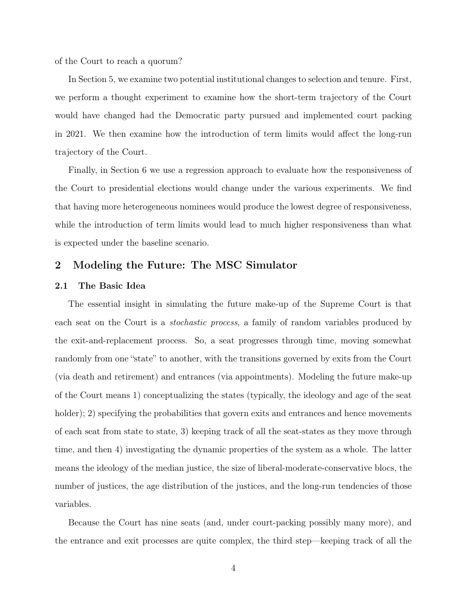of the Court to reach a quorum?

In Section 5, we examine two potential institutional changes to selection and tenure. First, we perform a thought experiment to examine how the short-term trajectory of the Court would have changed had the Democratic party pursued and implemented court packing in 2021. We then examine how the introduction of term limits would affect the long-run trajectory of the Court.

Finally, in Section 6 we use a regression approach to evaluate how the responsiveness of the Court to presidential elections would change under the various experiments. We find that having more heterogeneous nominees would produce the lowest degree of responsiveness, while the introduction of term limits would lead to much higher responsiveness than what is expected under the baseline scenario.

## 2 Modeling the Future: The MSC Simulator

#### 2.1 The Basic Idea

The essential insight in simulating the future make-up of the Supreme Court is that each seat on the Court is a stochastic process, a family of random variables produced by the exit-and-replacement process. So, a seat progresses through time, moving somewhat randomly from one "state" to another, with the transitions governed by exits from the Court (via death and retirement) and entrances (via appointments). Modeling the future make-up of the Court means 1) conceptualizing the states (typically, the ideology and age of the seat holder); 2) specifying the probabilities that govern exits and entrances and hence movements of each seat from state to state, 3) keeping track of all the seat-states as they move through time, and then 4) investigating the dynamic properties of the system as a whole. The latter means the ideology of the median justice, the size of liberal-moderate-conservative blocs, the number of justices, the age distribution of the justices, and the long-run tendencies of those variables.

Because the Court has nine seats (and, under court-packing possibly many more), and the entrance and exit processes are quite complex, the third step—keeping track of all the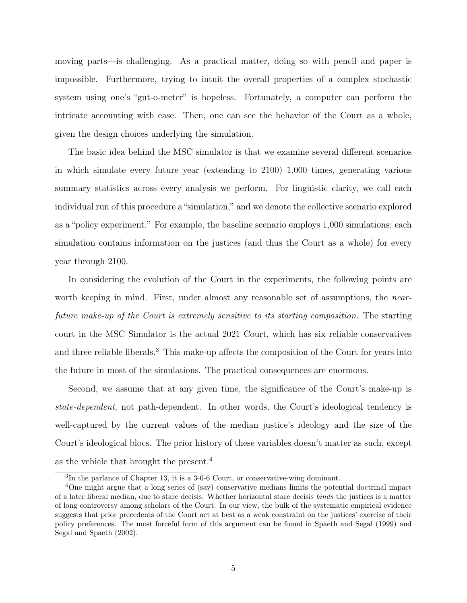moving parts—is challenging. As a practical matter, doing so with pencil and paper is impossible. Furthermore, trying to intuit the overall properties of a complex stochastic system using one's "gut-o-meter" is hopeless. Fortunately, a computer can perform the intricate accounting with ease. Then, one can see the behavior of the Court as a whole, given the design choices underlying the simulation.

The basic idea behind the MSC simulator is that we examine several different scenarios in which simulate every future year (extending to 2100) 1,000 times, generating various summary statistics across every analysis we perform. For linguistic clarity, we call each individual run of this procedure a "simulation," and we denote the collective scenario explored as a "policy experiment." For example, the baseline scenario employs 1,000 simulations; each simulation contains information on the justices (and thus the Court as a whole) for every year through 2100.

In considering the evolution of the Court in the experiments, the following points are worth keeping in mind. First, under almost any reasonable set of assumptions, the *near*future make-up of the Court is extremely sensitive to its starting composition. The starting court in the MSC Simulator is the actual 2021 Court, which has six reliable conservatives and three reliable liberals.<sup>3</sup> This make-up affects the composition of the Court for years into the future in most of the simulations. The practical consequences are enormous.

Second, we assume that at any given time, the significance of the Court's make-up is state-dependent, not path-dependent. In other words, the Court's ideological tendency is well-captured by the current values of the median justice's ideology and the size of the Court's ideological blocs. The prior history of these variables doesn't matter as such, except as the vehicle that brought the present.<sup>4</sup>

<sup>3</sup> In the parlance of Chapter 13, it is a 3-0-6 Court, or conservative-wing dominant.

<sup>4</sup>One might argue that a long series of (say) conservative medians limits the potential doctrinal impact of a later liberal median, due to stare decisis. Whether horizontal stare decisis binds the justices is a matter of long controversy among scholars of the Court. In our view, the bulk of the systematic empirical evidence suggests that prior precedents of the Court act at best as a weak constraint on the justices' exercise of their policy preferences. The most forceful form of this argument can be found in Spaeth and Segal (1999) and Segal and Spaeth (2002).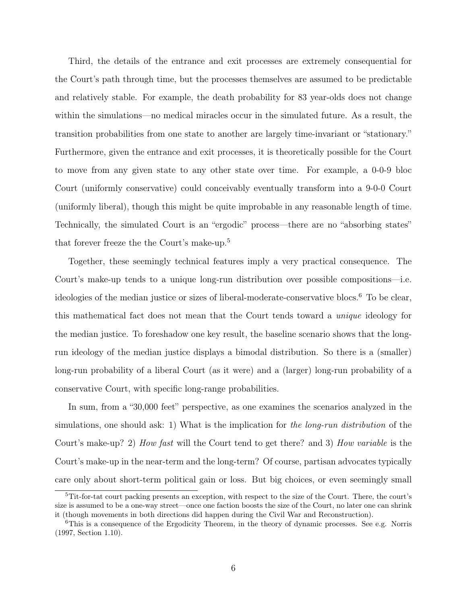Third, the details of the entrance and exit processes are extremely consequential for the Court's path through time, but the processes themselves are assumed to be predictable and relatively stable. For example, the death probability for 83 year-olds does not change within the simulations—no medical miracles occur in the simulated future. As a result, the transition probabilities from one state to another are largely time-invariant or "stationary." Furthermore, given the entrance and exit processes, it is theoretically possible for the Court to move from any given state to any other state over time. For example, a 0-0-9 bloc Court (uniformly conservative) could conceivably eventually transform into a 9-0-0 Court (uniformly liberal), though this might be quite improbable in any reasonable length of time. Technically, the simulated Court is an "ergodic" process—there are no "absorbing states" that forever freeze the the Court's make-up.<sup>5</sup>

Together, these seemingly technical features imply a very practical consequence. The Court's make-up tends to a unique long-run distribution over possible compositions—i.e. ideologies of the median justice or sizes of liberal-moderate-conservative blocs.<sup>6</sup> To be clear, this mathematical fact does not mean that the Court tends toward a unique ideology for the median justice. To foreshadow one key result, the baseline scenario shows that the longrun ideology of the median justice displays a bimodal distribution. So there is a (smaller) long-run probability of a liberal Court (as it were) and a (larger) long-run probability of a conservative Court, with specific long-range probabilities.

In sum, from a "30,000 feet" perspective, as one examines the scenarios analyzed in the simulations, one should ask: 1) What is the implication for the long-run distribution of the Court's make-up? 2) How fast will the Court tend to get there? and 3) How variable is the Court's make-up in the near-term and the long-term? Of course, partisan advocates typically care only about short-term political gain or loss. But big choices, or even seemingly small

<sup>5</sup>Tit-for-tat court packing presents an exception, with respect to the size of the Court. There, the court's size is assumed to be a one-way street—once one faction boosts the size of the Court, no later one can shrink it (though movements in both directions did happen during the Civil War and Reconstruction).

<sup>&</sup>lt;sup>6</sup>This is a consequence of the Ergodicity Theorem, in the theory of dynamic processes. See e.g. Norris (1997, Section 1.10).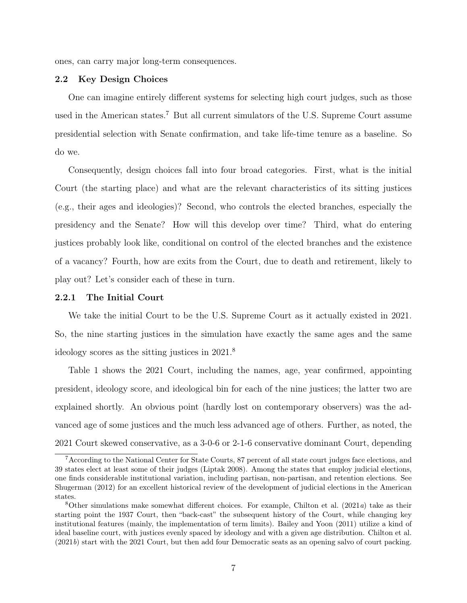ones, can carry major long-term consequences.

## 2.2 Key Design Choices

One can imagine entirely different systems for selecting high court judges, such as those used in the American states.<sup>7</sup> But all current simulators of the U.S. Supreme Court assume presidential selection with Senate confirmation, and take life-time tenure as a baseline. So do we.

Consequently, design choices fall into four broad categories. First, what is the initial Court (the starting place) and what are the relevant characteristics of its sitting justices (e.g., their ages and ideologies)? Second, who controls the elected branches, especially the presidency and the Senate? How will this develop over time? Third, what do entering justices probably look like, conditional on control of the elected branches and the existence of a vacancy? Fourth, how are exits from the Court, due to death and retirement, likely to play out? Let's consider each of these in turn.

#### 2.2.1 The Initial Court

We take the initial Court to be the U.S. Supreme Court as it actually existed in 2021. So, the nine starting justices in the simulation have exactly the same ages and the same ideology scores as the sitting justices in 2021.<sup>8</sup>

Table 1 shows the 2021 Court, including the names, age, year confirmed, appointing president, ideology score, and ideological bin for each of the nine justices; the latter two are explained shortly. An obvious point (hardly lost on contemporary observers) was the advanced age of some justices and the much less advanced age of others. Further, as noted, the 2021 Court skewed conservative, as a 3-0-6 or 2-1-6 conservative dominant Court, depending

<sup>7</sup>According to the National Center for State Courts, 87 percent of all state court judges face elections, and 39 states elect at least some of their judges (Liptak 2008). Among the states that employ judicial elections, one finds considerable institutional variation, including partisan, non-partisan, and retention elections. See Shugerman (2012) for an excellent historical review of the development of judicial elections in the American states.

<sup>&</sup>lt;sup>8</sup>Other simulations make somewhat different choices. For example, Chilton et al.  $(2021a)$  take as their starting point the 1937 Court, then "back-cast" the subsequent history of the Court, while changing key institutional features (mainly, the implementation of term limits). Bailey and Yoon (2011) utilize a kind of ideal baseline court, with justices evenly spaced by ideology and with a given age distribution. Chilton et al. (2021b) start with the 2021 Court, but then add four Democratic seats as an opening salvo of court packing.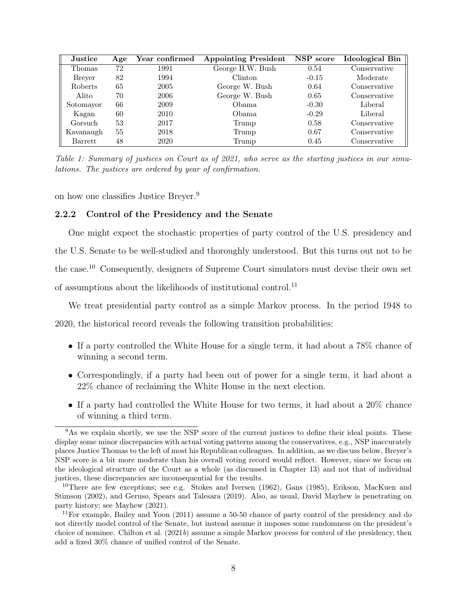| <b>Justice</b> | Age | Year confirmed | <b>Appointing President</b> | NSP score | <b>Ideological Bin</b> |
|----------------|-----|----------------|-----------------------------|-----------|------------------------|
| Thomas         | 72  | 1991           | George H.W. Bush            | 0.54      | Conservative           |
| <b>Brever</b>  | 82  | 1994           | <b>Clinton</b>              | $-0.15$   | Moderate               |
| Roberts        | 65  | 2005           | George W. Bush              | 0.64      | Conservative           |
| Alito          | 70  | 2006           | George W. Bush              | 0.65      | Conservative           |
| Sotomayor      | 66  | 2009           | Obama                       | $-0.30$   | Liberal                |
| Kagan          | 60  | 2010           | Obama                       | $-0.29$   | Liberal                |
| Gorsuch        | 53  | 2017           | Trump                       | 0.58      | Conservative           |
| Kavanaugh      | 55  | 2018           | Trump                       | 0.67      | Conservative           |
| Barrett        | 48  | 2020           | Trump                       | 0.45      | Conservative           |

Table 1: Summary of justices on Court as of 2021, who serve as the starting justices in our simulations. The justices are ordered by year of confirmation.

on how one classifies Justice Breyer.<sup>9</sup>

## 2.2.2 Control of the Presidency and the Senate

One might expect the stochastic properties of party control of the U.S. presidency and the U.S. Senate to be well-studied and thoroughly understood. But this turns out not to be the case.<sup>10</sup> Consequently, designers of Supreme Court simulators must devise their own set of assumptions about the likelihoods of institutional control.<sup>11</sup>

We treat presidential party control as a simple Markov process. In the period 1948 to

2020, the historical record reveals the following transition probabilities:

- If a party controlled the White House for a single term, it had about a 78% chance of winning a second term.
- Correspondingly, if a party had been out of power for a single term, it had about a 22% chance of reclaiming the White House in the next election.
- If a party had controlled the White House for two terms, it had about a 20% chance of winning a third term.

<sup>&</sup>lt;sup>9</sup>As we explain shortly, we use the NSP score of the current justices to define their ideal points. These display some minor discrepancies with actual voting patterns among the conservatives, e.g., NSP inaccurately places Justice Thomas to the left of most his Republican colleagues. In addition, as we discuss below, Breyer's NSP score is a bit more moderate than his overall voting record would reflect. However, since we focus on the ideological structure of the Court as a whole (as discussed in Chapter 13) and not that of individual justices, these discrepancies are inconsequential for the results.

<sup>&</sup>lt;sup>10</sup>There are few exceptions; see e.g. Stokes and Iversen (1962), Gans (1985), Erikson, MacKuen and Stimson (2002), and Geruso, Spears and Talesara (2019). Also, as usual, David Mayhew is penetrating on party history; see Mayhew (2021).

<sup>11</sup>For example, Bailey and Yoon (2011) assume a 50-50 chance of party control of the presidency and do not directly model control of the Senate, but instead assume it imposes some randomness on the president's choice of nominee. Chilton et al.  $(2021b)$  assume a simple Markov process for control of the presidency, then add a fixed 30% chance of unified control of the Senate.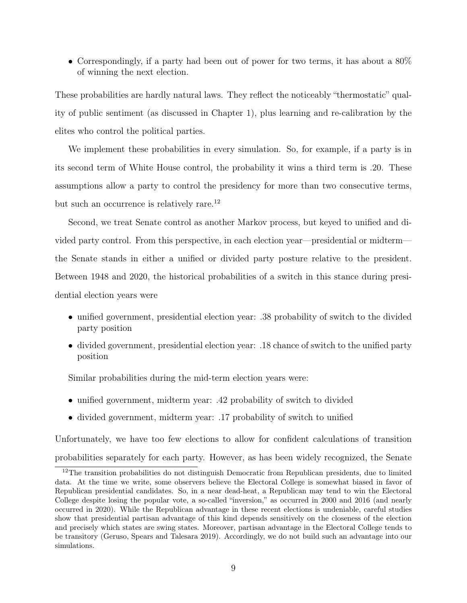• Correspondingly, if a party had been out of power for two terms, it has about a 80% of winning the next election.

These probabilities are hardly natural laws. They reflect the noticeably "thermostatic" quality of public sentiment (as discussed in Chapter 1), plus learning and re-calibration by the elites who control the political parties.

We implement these probabilities in every simulation. So, for example, if a party is in its second term of White House control, the probability it wins a third term is .20. These assumptions allow a party to control the presidency for more than two consecutive terms, but such an occurrence is relatively rare.<sup>12</sup>

Second, we treat Senate control as another Markov process, but keyed to unified and divided party control. From this perspective, in each election year—presidential or midterm the Senate stands in either a unified or divided party posture relative to the president. Between 1948 and 2020, the historical probabilities of a switch in this stance during presidential election years were

- unified government, presidential election year: .38 probability of switch to the divided party position
- divided government, presidential election year: .18 chance of switch to the unified party position

Similar probabilities during the mid-term election years were:

- unified government, midterm year: .42 probability of switch to divided
- divided government, midterm year: .17 probability of switch to unified

Unfortunately, we have too few elections to allow for confident calculations of transition probabilities separately for each party. However, as has been widely recognized, the Senate

<sup>&</sup>lt;sup>12</sup>The transition probabilities do not distinguish Democratic from Republican presidents, due to limited data. At the time we write, some observers believe the Electoral College is somewhat biased in favor of Republican presidential candidates. So, in a near dead-heat, a Republican may tend to win the Electoral College despite losing the popular vote, a so-called "inversion," as occurred in 2000 and 2016 (and nearly occurred in 2020). While the Republican advantage in these recent elections is undeniable, careful studies show that presidential partisan advantage of this kind depends sensitively on the closeness of the election and precisely which states are swing states. Moreover, partisan advantage in the Electoral College tends to be transitory (Geruso, Spears and Talesara 2019). Accordingly, we do not build such an advantage into our simulations.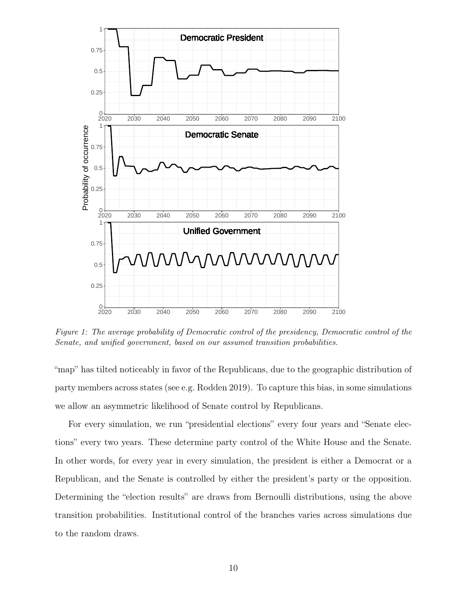

Figure 1: The average probability of Democratic control of the presidency, Democratic control of the Senate, and unified government, based on our assumed transition probabilities.

"map" has tilted noticeably in favor of the Republicans, due to the geographic distribution of party members across states (see e.g. Rodden 2019). To capture this bias, in some simulations we allow an asymmetric likelihood of Senate control by Republicans.

For every simulation, we run "presidential elections" every four years and "Senate elections" every two years. These determine party control of the White House and the Senate. In other words, for every year in every simulation, the president is either a Democrat or a Republican, and the Senate is controlled by either the president's party or the opposition. Determining the "election results" are draws from Bernoulli distributions, using the above transition probabilities. Institutional control of the branches varies across simulations due to the random draws.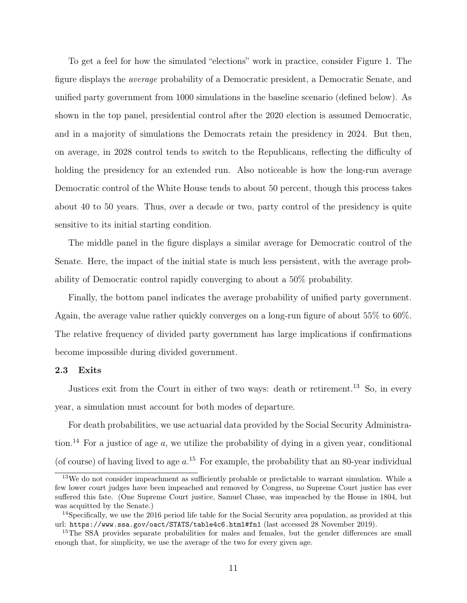To get a feel for how the simulated "elections" work in practice, consider Figure 1. The figure displays the average probability of a Democratic president, a Democratic Senate, and unified party government from 1000 simulations in the baseline scenario (defined below). As shown in the top panel, presidential control after the 2020 election is assumed Democratic, and in a majority of simulations the Democrats retain the presidency in 2024. But then, on average, in 2028 control tends to switch to the Republicans, reflecting the difficulty of holding the presidency for an extended run. Also noticeable is how the long-run average Democratic control of the White House tends to about 50 percent, though this process takes about 40 to 50 years. Thus, over a decade or two, party control of the presidency is quite sensitive to its initial starting condition.

The middle panel in the figure displays a similar average for Democratic control of the Senate. Here, the impact of the initial state is much less persistent, with the average probability of Democratic control rapidly converging to about a 50% probability.

Finally, the bottom panel indicates the average probability of unified party government. Again, the average value rather quickly converges on a long-run figure of about 55% to 60%. The relative frequency of divided party government has large implications if confirmations become impossible during divided government.

## 2.3 Exits

Justices exit from the Court in either of two ways: death or retirement.<sup>13</sup> So, in every year, a simulation must account for both modes of departure.

For death probabilities, we use actuarial data provided by the Social Security Administration.<sup>14</sup> For a justice of age  $a$ , we utilize the probability of dying in a given year, conditional (of course) of having lived to age  $a$ .<sup>15</sup> For example, the probability that an 80-year individual

<sup>&</sup>lt;sup>13</sup>We do not consider impeachment as sufficiently probable or predictable to warrant simulation. While a few lower court judges have been impeached and removed by Congress, no Supreme Court justice has ever suffered this fate. (One Supreme Court justice, Samuel Chase, was impeached by the House in 1804, but was acquitted by the Senate.)

<sup>&</sup>lt;sup>14</sup>Specifically, we use the 2016 period life table for the Social Security area population, as provided at this url: https://www.ssa.gov/oact/STATS/table4c6.html#fn1 (last accessed 28 November 2019).

<sup>&</sup>lt;sup>15</sup>The SSA provides separate probabilities for males and females, but the gender differences are small enough that, for simplicity, we use the average of the two for every given age.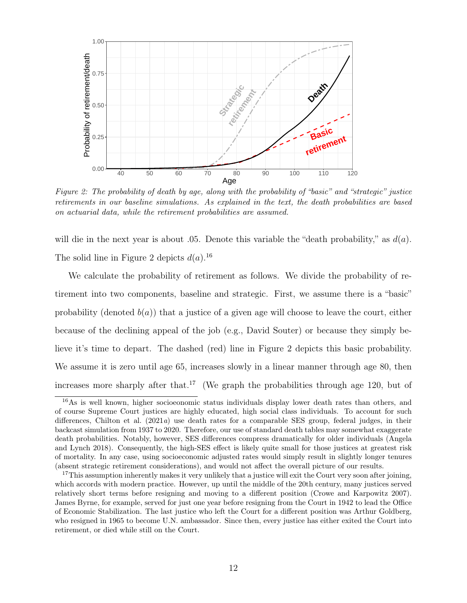

Figure 2: The probability of death by age, along with the probability of "basic" and "strategic" justice retirements in our baseline simulations. As explained in the text, the death probabilities are based on actuarial data, while the retirement probabilities are assumed.

will die in the next year is about .05. Denote this variable the "death probability," as  $d(a)$ . The solid line in Figure 2 depicts  $d(a)$ .<sup>16</sup>

We calculate the probability of retirement as follows. We divide the probability of retirement into two components, baseline and strategic. First, we assume there is a "basic" probability (denoted  $b(a)$ ) that a justice of a given age will choose to leave the court, either because of the declining appeal of the job (e.g., David Souter) or because they simply believe it's time to depart. The dashed (red) line in Figure 2 depicts this basic probability. We assume it is zero until age 65, increases slowly in a linear manner through age 80, then increases more sharply after that.<sup>17</sup> (We graph the probabilities through age 120, but of

<sup>16</sup>As is well known, higher socioeonomic status individuals display lower death rates than others, and of course Supreme Court justices are highly educated, high social class individuals. To account for such differences, Chilton et al. (2021a) use death rates for a comparable SES group, federal judges, in their backcast simulation from 1937 to 2020. Therefore, our use of standard death tables may somewhat exaggerate death probabilities. Notably, however, SES differences compress dramatically for older individuals (Angela and Lynch 2018). Consequently, the high-SES effect is likely quite small for those justices at greatest risk of mortality. In any case, using socioeconomic adjusted rates would simply result in slightly longer tenures (absent strategic retirement considerations), and would not affect the overall picture of our results.

<sup>&</sup>lt;sup>17</sup>This assumption inherently makes it very unlikely that a justice will exit the Court very soon after joining, which accords with modern practice. However, up until the middle of the 20th century, many justices served relatively short terms before resigning and moving to a different position (Crowe and Karpowitz 2007). James Byrne, for example, served for just one year before resigning from the Court in 1942 to lead the Office of Economic Stabilization. The last justice who left the Court for a different position was Arthur Goldberg, who resigned in 1965 to become U.N. ambassador. Since then, every justice has either exited the Court into retirement, or died while still on the Court.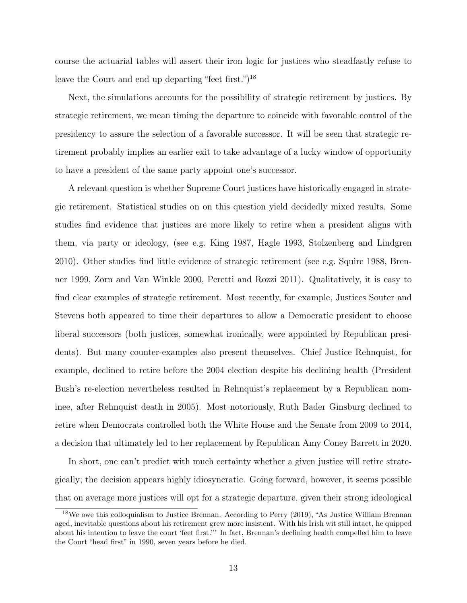course the actuarial tables will assert their iron logic for justices who steadfastly refuse to leave the Court and end up departing "feet first.")<sup>18</sup>

Next, the simulations accounts for the possibility of strategic retirement by justices. By strategic retirement, we mean timing the departure to coincide with favorable control of the presidency to assure the selection of a favorable successor. It will be seen that strategic retirement probably implies an earlier exit to take advantage of a lucky window of opportunity to have a president of the same party appoint one's successor.

A relevant question is whether Supreme Court justices have historically engaged in strategic retirement. Statistical studies on on this question yield decidedly mixed results. Some studies find evidence that justices are more likely to retire when a president aligns with them, via party or ideology, (see e.g. King 1987, Hagle 1993, Stolzenberg and Lindgren 2010). Other studies find little evidence of strategic retirement (see e.g. Squire 1988, Brenner 1999, Zorn and Van Winkle 2000, Peretti and Rozzi 2011). Qualitatively, it is easy to find clear examples of strategic retirement. Most recently, for example, Justices Souter and Stevens both appeared to time their departures to allow a Democratic president to choose liberal successors (both justices, somewhat ironically, were appointed by Republican presidents). But many counter-examples also present themselves. Chief Justice Rehnquist, for example, declined to retire before the 2004 election despite his declining health (President Bush's re-election nevertheless resulted in Rehnquist's replacement by a Republican nominee, after Rehnquist death in 2005). Most notoriously, Ruth Bader Ginsburg declined to retire when Democrats controlled both the White House and the Senate from 2009 to 2014, a decision that ultimately led to her replacement by Republican Amy Coney Barrett in 2020.

In short, one can't predict with much certainty whether a given justice will retire strategically; the decision appears highly idiosyncratic. Going forward, however, it seems possible that on average more justices will opt for a strategic departure, given their strong ideological

<sup>18</sup>We owe this colloquialism to Justice Brennan. According to Perry (2019), "As Justice William Brennan aged, inevitable questions about his retirement grew more insistent. With his Irish wit still intact, he quipped about his intention to leave the court 'feet first."' In fact, Brennan's declining health compelled him to leave the Court "head first" in 1990, seven years before he died.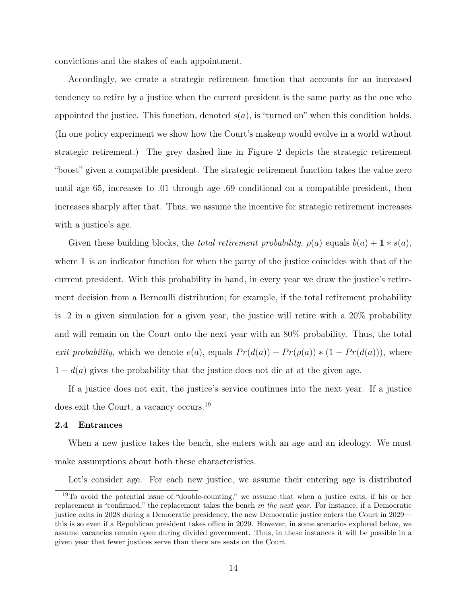convictions and the stakes of each appointment.

Accordingly, we create a strategic retirement function that accounts for an increased tendency to retire by a justice when the current president is the same party as the one who appointed the justice. This function, denoted  $s(a)$ , is "turned on" when this condition holds. (In one policy experiment we show how the Court's makeup would evolve in a world without strategic retirement.) The grey dashed line in Figure 2 depicts the strategic retirement "boost" given a compatible president. The strategic retirement function takes the value zero until age 65, increases to .01 through age .69 conditional on a compatible president, then increases sharply after that. Thus, we assume the incentive for strategic retirement increases with a justice's age.

Given these building blocks, the *total retirement probability*,  $\rho(a)$  equals  $b(a) + \mathbb{1} * s(a)$ , where  $\mathbbm{1}$  is an indicator function for when the party of the justice coincides with that of the current president. With this probability in hand, in every year we draw the justice's retirement decision from a Bernoulli distribution; for example, if the total retirement probability is .2 in a given simulation for a given year, the justice will retire with a 20% probability and will remain on the Court onto the next year with an 80% probability. Thus, the total exit probability, which we denote  $e(a)$ , equals  $Pr(d(a)) + Pr(\rho(a)) * (1 - Pr(d(a)))$ , where  $1 - d(a)$  gives the probability that the justice does not die at at the given age.

If a justice does not exit, the justice's service continues into the next year. If a justice does exit the Court, a vacancy occurs.<sup>19</sup>

#### 2.4 Entrances

When a new justice takes the bench, she enters with an age and an ideology. We must make assumptions about both these characteristics.

Let's consider age. For each new justice, we assume their entering age is distributed

<sup>19</sup>To avoid the potential issue of "double-counting," we assume that when a justice exits, if his or her replacement is "confirmed," the replacement takes the bench in the next year. For instance, if a Democratic justice exits in 2028 during a Democratic presidency, the new Democratic justice enters the Court in 2029 this is so even if a Republican president takes office in 2029. However, in some scenarios explored below, we assume vacancies remain open during divided government. Thus, in these instances it will be possible in a given year that fewer justices serve than there are seats on the Court.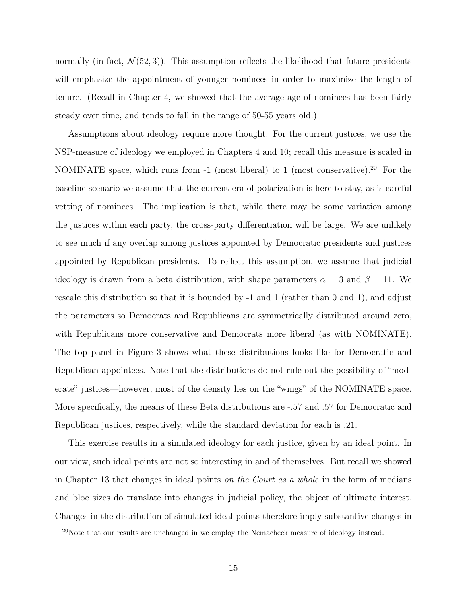normally (in fact,  $\mathcal{N}(52,3)$ ). This assumption reflects the likelihood that future presidents will emphasize the appointment of younger nominees in order to maximize the length of tenure. (Recall in Chapter 4, we showed that the average age of nominees has been fairly steady over time, and tends to fall in the range of 50-55 years old.)

Assumptions about ideology require more thought. For the current justices, we use the NSP-measure of ideology we employed in Chapters 4 and 10; recall this measure is scaled in NOMINATE space, which runs from -1 (most liberal) to 1 (most conservative).<sup>20</sup> For the baseline scenario we assume that the current era of polarization is here to stay, as is careful vetting of nominees. The implication is that, while there may be some variation among the justices within each party, the cross-party differentiation will be large. We are unlikely to see much if any overlap among justices appointed by Democratic presidents and justices appointed by Republican presidents. To reflect this assumption, we assume that judicial ideology is drawn from a beta distribution, with shape parameters  $\alpha = 3$  and  $\beta = 11$ . We rescale this distribution so that it is bounded by -1 and 1 (rather than 0 and 1), and adjust the parameters so Democrats and Republicans are symmetrically distributed around zero, with Republicans more conservative and Democrats more liberal (as with NOMINATE). The top panel in Figure 3 shows what these distributions looks like for Democratic and Republican appointees. Note that the distributions do not rule out the possibility of "moderate" justices—however, most of the density lies on the "wings" of the NOMINATE space. More specifically, the means of these Beta distributions are -.57 and .57 for Democratic and Republican justices, respectively, while the standard deviation for each is .21.

This exercise results in a simulated ideology for each justice, given by an ideal point. In our view, such ideal points are not so interesting in and of themselves. But recall we showed in Chapter 13 that changes in ideal points on the Court as a whole in the form of medians and bloc sizes do translate into changes in judicial policy, the object of ultimate interest. Changes in the distribution of simulated ideal points therefore imply substantive changes in

 $20$ Note that our results are unchanged in we employ the Nemacheck measure of ideology instead.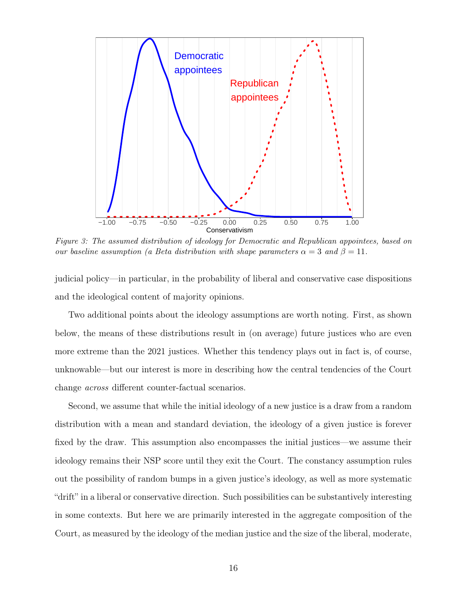

Figure 3: The assumed distribution of ideology for Democratic and Republican appointees, based on our baseline assumption (a Beta distribution with shape parameters  $\alpha = 3$  and  $\beta = 11$ .

judicial policy—in particular, in the probability of liberal and conservative case dispositions and the ideological content of majority opinions.

Two additional points about the ideology assumptions are worth noting. First, as shown below, the means of these distributions result in (on average) future justices who are even more extreme than the 2021 justices. Whether this tendency plays out in fact is, of course, unknowable—but our interest is more in describing how the central tendencies of the Court change across different counter-factual scenarios.

Second, we assume that while the initial ideology of a new justice is a draw from a random distribution with a mean and standard deviation, the ideology of a given justice is forever fixed by the draw. This assumption also encompasses the initial justices—we assume their ideology remains their NSP score until they exit the Court. The constancy assumption rules out the possibility of random bumps in a given justice's ideology, as well as more systematic "drift" in a liberal or conservative direction. Such possibilities can be substantively interesting in some contexts. But here we are primarily interested in the aggregate composition of the Court, as measured by the ideology of the median justice and the size of the liberal, moderate,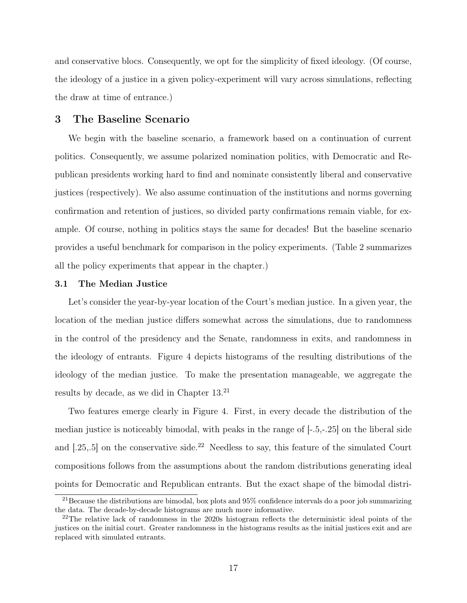and conservative blocs. Consequently, we opt for the simplicity of fixed ideology. (Of course, the ideology of a justice in a given policy-experiment will vary across simulations, reflecting the draw at time of entrance.)

## 3 The Baseline Scenario

We begin with the baseline scenario, a framework based on a continuation of current politics. Consequently, we assume polarized nomination politics, with Democratic and Republican presidents working hard to find and nominate consistently liberal and conservative justices (respectively). We also assume continuation of the institutions and norms governing confirmation and retention of justices, so divided party confirmations remain viable, for example. Of course, nothing in politics stays the same for decades! But the baseline scenario provides a useful benchmark for comparison in the policy experiments. (Table 2 summarizes all the policy experiments that appear in the chapter.)

### 3.1 The Median Justice

Let's consider the year-by-year location of the Court's median justice. In a given year, the location of the median justice differs somewhat across the simulations, due to randomness in the control of the presidency and the Senate, randomness in exits, and randomness in the ideology of entrants. Figure 4 depicts histograms of the resulting distributions of the ideology of the median justice. To make the presentation manageable, we aggregate the results by decade, as we did in Chapter 13.<sup>21</sup>

Two features emerge clearly in Figure 4. First, in every decade the distribution of the median justice is noticeably bimodal, with peaks in the range of [-.5,-.25] on the liberal side and  $[.25, .5]$  on the conservative side.<sup>22</sup> Needless to say, this feature of the simulated Court compositions follows from the assumptions about the random distributions generating ideal points for Democratic and Republican entrants. But the exact shape of the bimodal distri-

<sup>&</sup>lt;sup>21</sup>Because the distributions are bimodal, box plots and  $95\%$  confidence intervals do a poor job summarizing the data. The decade-by-decade histograms are much more informative.

<sup>&</sup>lt;sup>22</sup>The relative lack of randomness in the 2020s histogram reflects the deterministic ideal points of the justices on the initial court. Greater randomness in the histograms results as the initial justices exit and are replaced with simulated entrants.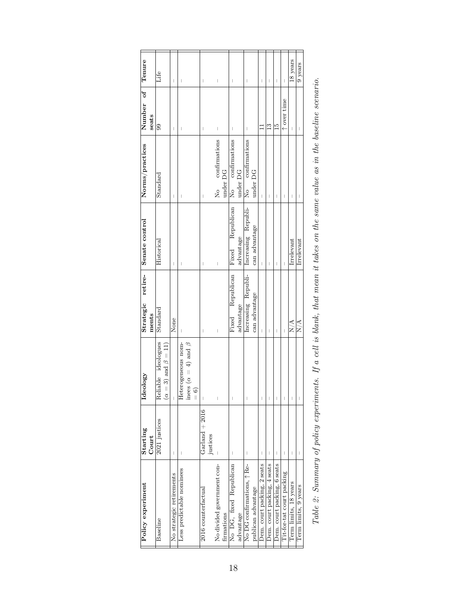| Tenure                                    | Life                |                                         | $\overline{\phantom{a}}$       | I                         |                                    |               | I                              |          | $\begin{array}{c} \end{array}$ |            | I                       |           | $\overline{\phantom{a}}$            |                    | I                           | I                           | $\overline{\phantom{a}}$    |                           | 18 years                       | 9 years                        |
|-------------------------------------------|---------------------|-----------------------------------------|--------------------------------|---------------------------|------------------------------------|---------------|--------------------------------|----------|--------------------------------|------------|-------------------------|-----------|-------------------------------------|--------------------|-----------------------------|-----------------------------|-----------------------------|---------------------------|--------------------------------|--------------------------------|
| Number of<br>seats                        | 99                  |                                         | $\overline{\phantom{a}}$       | I                         |                                    |               | $\overline{\phantom{a}}$       |          | I                              |            | I                       |           | I                                   |                    |                             | $\frac{3}{2}$               | $\frac{15}{11}$             | t over time               | I                              | $\overline{\phantom{a}}$       |
| Norms/practices                           | $_{\rm Standard}$   |                                         | $\begin{array}{c} \end{array}$ | I                         |                                    |               | I                              |          | No confirmations               | under DG   | confirmations<br>。<br>2 | under DG  | confirmations<br>。<br>2             | under DG           | I                           | I                           | $\mid$                      | I                         | $\mid$                         | $\begin{array}{c} \end{array}$ |
|                                           | Historical          |                                         | $\overline{\phantom{a}}$       | I                         |                                    |               | I                              |          | I                              |            | Fixed Republican        | advantage | Increasing Republi-                 | can advantage      | $\overline{\phantom{a}}$    | I                           | $\overline{\phantom{a}}$    |                           | Irrelevant                     | Irrelevant                     |
| Strategic retire- Senate control<br>ments | Standard            |                                         | None                           |                           |                                    |               | $\begin{array}{c} \end{array}$ |          | I                              |            | Fixed Republican        | advantage | Increasing Republi-                 | can advantage      | I                           | I                           | $\overline{\phantom{a}}$    |                           | N/A                            | N/A                            |
| Ideology                                  | Reliable ideologues | $= 3$ ) and $\beta = 11$<br>$\tilde{a}$ |                                | terogeneous nom-<br>Het   | inees ( $\alpha = 4$ ) and $\beta$ | $\frac{1}{2}$ | I                              |          | I                              |            | I                       |           | $\overline{\phantom{a}}$            |                    | I                           | Ī                           | $\overline{\phantom{a}}$    | I                         | $\begin{array}{c} \end{array}$ | $\begin{array}{c} \end{array}$ |
| Starting<br>Court                         | 2021 justices       |                                         | $\overline{\phantom{a}}$       |                           |                                    |               | Garland $+2016$                | justices |                                |            |                         |           |                                     |                    |                             | I                           |                             |                           | I                              | I                              |
| Policy experiment                         | Baseline            |                                         | No strategic retirements       | Less predictable nominees |                                    |               | 2016 counterfactual            |          | No divided government con-     | firmations | No DG, fixed Republican | advantage | No DG confirmations, $\uparrow$ Re- | publican advantage | Dem. court packing, 2 seats | Dem. court packing, 4 seats | Dem. court packing, 6 seats | Tit-for-tat court packing | Term limits, 18 years          | Term limits, 9 years           |

| ì<br>Š<br>i<br>5                                |
|-------------------------------------------------|
| ì<br>į                                          |
|                                                 |
| Î                                               |
| ì<br>l                                          |
| ) mn n                                          |
| ֦֧֦֧֦֧֦֦֧֦֧֦֧֦֧֦֧֦֧֦֧ׅ֧֦֧ׅ֧֦֧ׅ֧֪֪֦֝֜֜֓֝֬֜֓֞֓֜֓֓ |
| l<br>š                                          |
| o an<br>ï<br>;                                  |
| 3<br>Š<br>Š                                     |
|                                                 |
| ֧֦֧֦֚<br>į                                      |
| Ì                                               |
| ì<br>$\ddot{\phantom{0}}$                       |
| Î<br>Š                                          |
|                                                 |
| Ş<br>i                                          |
| 3<br>ļ<br>ׇ֖֚֚֬֕֕                               |
| l<br>1<br>í                                     |
| š<br>ؙؚ<br>Í<br>I                               |
| Coold Co<br>ξ<br>j<br>Š<br>United<br>l<br>ξ     |
|                                                 |
|                                                 |
|                                                 |
|                                                 |
|                                                 |
| ׅ֚֕֡֡֡֡֡֡֡֡֡֝<br>ı                              |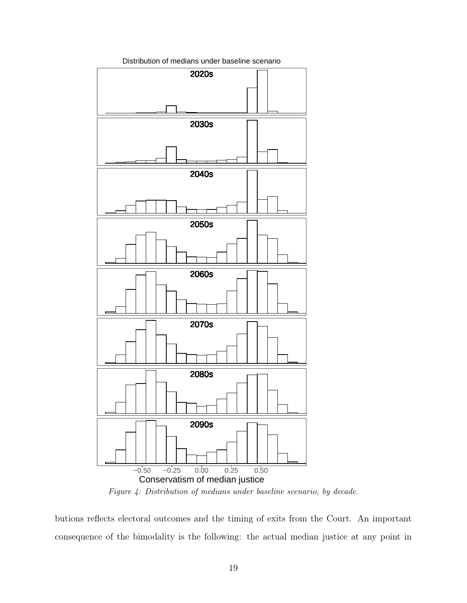

Distribution of medians under baseline scenario

Figure 4: Distribution of medians under baseline scenario, by decade.

butions reflects electoral outcomes and the timing of exits from the Court. An important consequence of the bimodality is the following: the actual median justice at any point in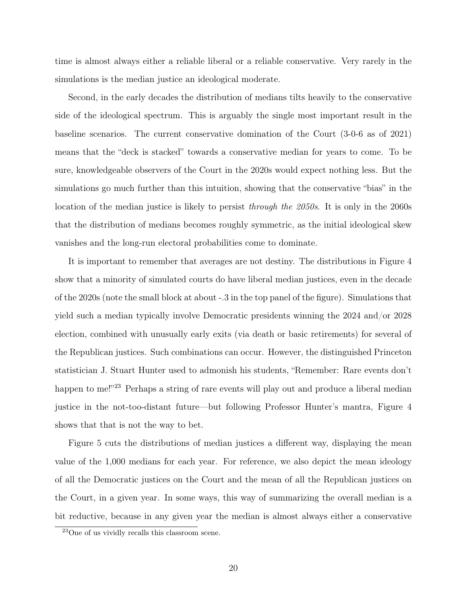time is almost always either a reliable liberal or a reliable conservative. Very rarely in the simulations is the median justice an ideological moderate.

Second, in the early decades the distribution of medians tilts heavily to the conservative side of the ideological spectrum. This is arguably the single most important result in the baseline scenarios. The current conservative domination of the Court (3-0-6 as of 2021) means that the "deck is stacked" towards a conservative median for years to come. To be sure, knowledgeable observers of the Court in the 2020s would expect nothing less. But the simulations go much further than this intuition, showing that the conservative "bias" in the location of the median justice is likely to persist through the 2050s. It is only in the 2060s that the distribution of medians becomes roughly symmetric, as the initial ideological skew vanishes and the long-run electoral probabilities come to dominate.

It is important to remember that averages are not destiny. The distributions in Figure 4 show that a minority of simulated courts do have liberal median justices, even in the decade of the 2020s (note the small block at about -.3 in the top panel of the figure). Simulations that yield such a median typically involve Democratic presidents winning the 2024 and/or 2028 election, combined with unusually early exits (via death or basic retirements) for several of the Republican justices. Such combinations can occur. However, the distinguished Princeton statistician J. Stuart Hunter used to admonish his students, "Remember: Rare events don't happen to me!"<sup>23</sup> Perhaps a string of rare events will play out and produce a liberal median justice in the not-too-distant future—but following Professor Hunter's mantra, Figure 4 shows that that is not the way to bet.

Figure 5 cuts the distributions of median justices a different way, displaying the mean value of the 1,000 medians for each year. For reference, we also depict the mean ideology of all the Democratic justices on the Court and the mean of all the Republican justices on the Court, in a given year. In some ways, this way of summarizing the overall median is a bit reductive, because in any given year the median is almost always either a conservative

<sup>23</sup>One of us vividly recalls this classroom scene.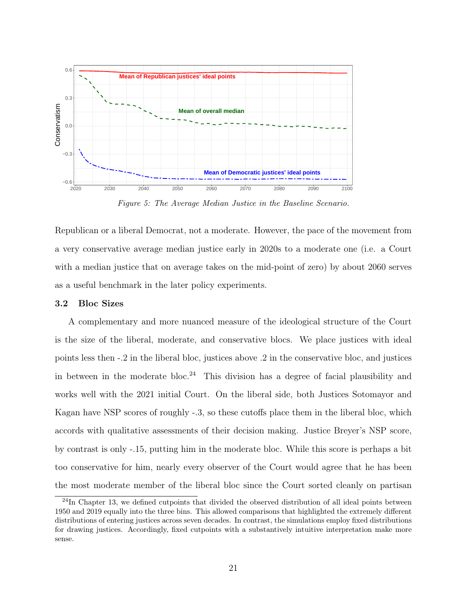

Figure 5: The Average Median Justice in the Baseline Scenario.

Republican or a liberal Democrat, not a moderate. However, the pace of the movement from a very conservative average median justice early in 2020s to a moderate one (i.e. a Court with a median justice that on average takes on the mid-point of zero) by about 2060 serves as a useful benchmark in the later policy experiments.

## 3.2 Bloc Sizes

A complementary and more nuanced measure of the ideological structure of the Court is the size of the liberal, moderate, and conservative blocs. We place justices with ideal points less then -.2 in the liberal bloc, justices above .2 in the conservative bloc, and justices in between in the moderate bloc.<sup>24</sup> This division has a degree of facial plausibility and works well with the 2021 initial Court. On the liberal side, both Justices Sotomayor and Kagan have NSP scores of roughly -.3, so these cutoffs place them in the liberal bloc, which accords with qualitative assessments of their decision making. Justice Breyer's NSP score, by contrast is only -.15, putting him in the moderate bloc. While this score is perhaps a bit too conservative for him, nearly every observer of the Court would agree that he has been the most moderate member of the liberal bloc since the Court sorted cleanly on partisan

 $^{24}$ In Chapter 13, we defined cutpoints that divided the observed distribution of all ideal points between 1950 and 2019 equally into the three bins. This allowed comparisons that highlighted the extremely different distributions of entering justices across seven decades. In contrast, the simulations employ fixed distributions for drawing justices. Accordingly, fixed cutpoints with a substantively intuitive interpretation make more sense.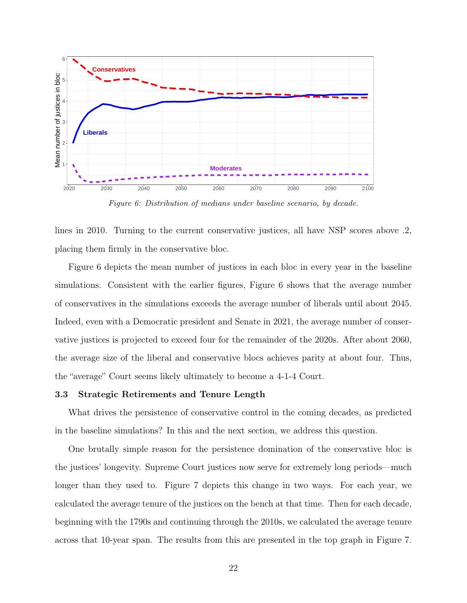

Figure 6: Distribution of medians under baseline scenario, by decade.

lines in 2010. Turning to the current conservative justices, all have NSP scores above .2, placing them firmly in the conservative bloc.

Figure 6 depicts the mean number of justices in each bloc in every year in the baseline simulations. Consistent with the earlier figures, Figure 6 shows that the average number of conservatives in the simulations exceeds the average number of liberals until about 2045. Indeed, even with a Democratic president and Senate in 2021, the average number of conservative justices is projected to exceed four for the remainder of the 2020s. After about 2060, the average size of the liberal and conservative blocs achieves parity at about four. Thus, the "average" Court seems likely ultimately to become a 4-1-4 Court.

## 3.3 Strategic Retirements and Tenure Length

What drives the persistence of conservative control in the coming decades, as predicted in the baseline simulations? In this and the next section, we address this question.

One brutally simple reason for the persistence domination of the conservative bloc is the justices' longevity. Supreme Court justices now serve for extremely long periods—much longer than they used to. Figure 7 depicts this change in two ways. For each year, we calculated the average tenure of the justices on the bench at that time. Then for each decade, beginning with the 1790s and continuing through the 2010s, we calculated the average tenure across that 10-year span. The results from this are presented in the top graph in Figure 7.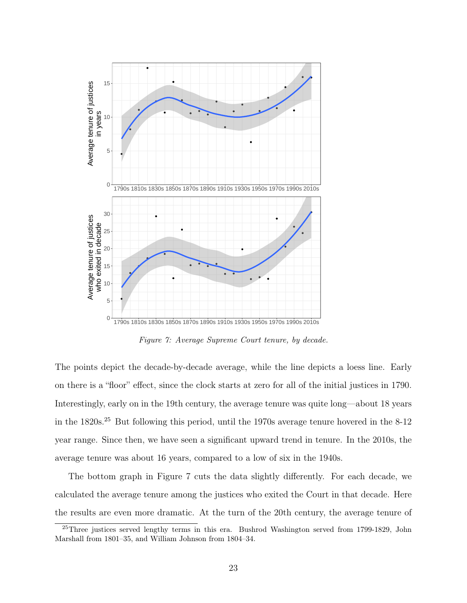

Figure 7: Average Supreme Court tenure, by decade.

The points depict the decade-by-decade average, while the line depicts a loess line. Early on there is a "floor" effect, since the clock starts at zero for all of the initial justices in 1790. Interestingly, early on in the 19th century, the average tenure was quite long—about 18 years in the 1820s.<sup>25</sup> But following this period, until the 1970s average tenure hovered in the 8-12 year range. Since then, we have seen a significant upward trend in tenure. In the 2010s, the average tenure was about 16 years, compared to a low of six in the 1940s.

The bottom graph in Figure 7 cuts the data slightly differently. For each decade, we calculated the average tenure among the justices who exited the Court in that decade. Here the results are even more dramatic. At the turn of the 20th century, the average tenure of

<sup>25</sup>Three justices served lengthy terms in this era. Bushrod Washington served from 1799-1829, John Marshall from 1801–35, and William Johnson from 1804–34.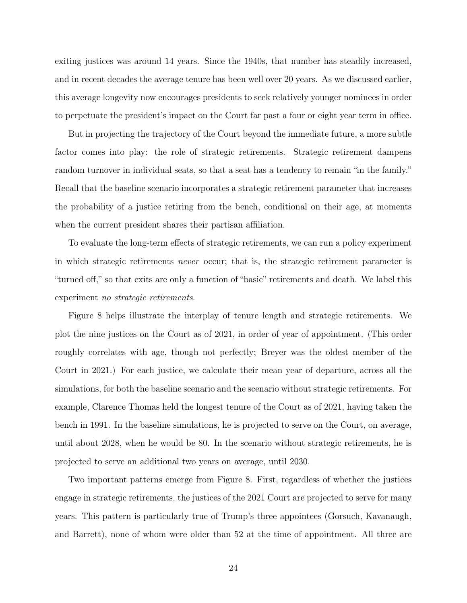exiting justices was around 14 years. Since the 1940s, that number has steadily increased, and in recent decades the average tenure has been well over 20 years. As we discussed earlier, this average longevity now encourages presidents to seek relatively younger nominees in order to perpetuate the president's impact on the Court far past a four or eight year term in office.

But in projecting the trajectory of the Court beyond the immediate future, a more subtle factor comes into play: the role of strategic retirements. Strategic retirement dampens random turnover in individual seats, so that a seat has a tendency to remain "in the family." Recall that the baseline scenario incorporates a strategic retirement parameter that increases the probability of a justice retiring from the bench, conditional on their age, at moments when the current president shares their partisan affiliation.

To evaluate the long-term effects of strategic retirements, we can run a policy experiment in which strategic retirements never occur; that is, the strategic retirement parameter is "turned off," so that exits are only a function of "basic" retirements and death. We label this experiment no strategic retirements.

Figure 8 helps illustrate the interplay of tenure length and strategic retirements. We plot the nine justices on the Court as of 2021, in order of year of appointment. (This order roughly correlates with age, though not perfectly; Breyer was the oldest member of the Court in 2021.) For each justice, we calculate their mean year of departure, across all the simulations, for both the baseline scenario and the scenario without strategic retirements. For example, Clarence Thomas held the longest tenure of the Court as of 2021, having taken the bench in 1991. In the baseline simulations, he is projected to serve on the Court, on average, until about 2028, when he would be 80. In the scenario without strategic retirements, he is projected to serve an additional two years on average, until 2030.

Two important patterns emerge from Figure 8. First, regardless of whether the justices engage in strategic retirements, the justices of the 2021 Court are projected to serve for many years. This pattern is particularly true of Trump's three appointees (Gorsuch, Kavanaugh, and Barrett), none of whom were older than 52 at the time of appointment. All three are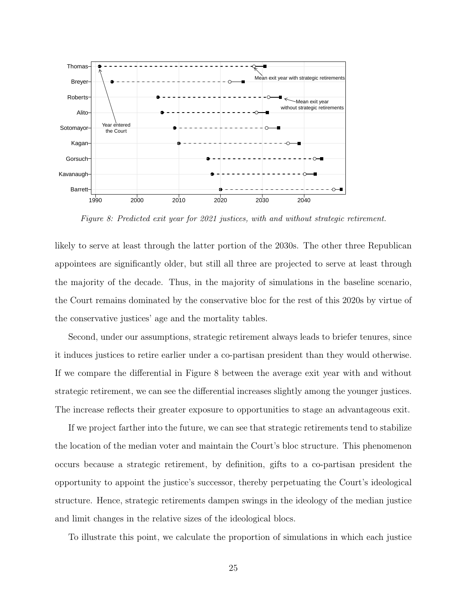

Figure 8: Predicted exit year for 2021 justices, with and without strategic retirement.

likely to serve at least through the latter portion of the 2030s. The other three Republican appointees are significantly older, but still all three are projected to serve at least through the majority of the decade. Thus, in the majority of simulations in the baseline scenario, the Court remains dominated by the conservative bloc for the rest of this 2020s by virtue of the conservative justices' age and the mortality tables.

Second, under our assumptions, strategic retirement always leads to briefer tenures, since it induces justices to retire earlier under a co-partisan president than they would otherwise. If we compare the differential in Figure 8 between the average exit year with and without strategic retirement, we can see the differential increases slightly among the younger justices. The increase reflects their greater exposure to opportunities to stage an advantageous exit.

If we project farther into the future, we can see that strategic retirements tend to stabilize the location of the median voter and maintain the Court's bloc structure. This phenomenon occurs because a strategic retirement, by definition, gifts to a co-partisan president the opportunity to appoint the justice's successor, thereby perpetuating the Court's ideological structure. Hence, strategic retirements dampen swings in the ideology of the median justice and limit changes in the relative sizes of the ideological blocs.

To illustrate this point, we calculate the proportion of simulations in which each justice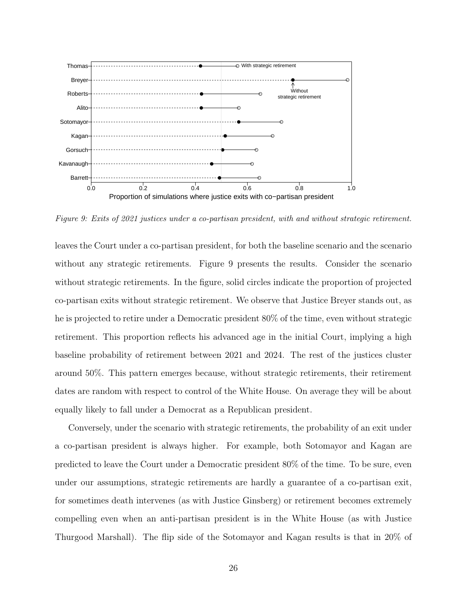

Figure 9: Exits of 2021 justices under a co-partisan president, with and without strategic retirement.

leaves the Court under a co-partisan president, for both the baseline scenario and the scenario without any strategic retirements. Figure 9 presents the results. Consider the scenario without strategic retirements. In the figure, solid circles indicate the proportion of projected co-partisan exits without strategic retirement. We observe that Justice Breyer stands out, as he is projected to retire under a Democratic president 80% of the time, even without strategic retirement. This proportion reflects his advanced age in the initial Court, implying a high baseline probability of retirement between 2021 and 2024. The rest of the justices cluster around 50%. This pattern emerges because, without strategic retirements, their retirement dates are random with respect to control of the White House. On average they will be about equally likely to fall under a Democrat as a Republican president.

Conversely, under the scenario with strategic retirements, the probability of an exit under a co-partisan president is always higher. For example, both Sotomayor and Kagan are predicted to leave the Court under a Democratic president 80% of the time. To be sure, even under our assumptions, strategic retirements are hardly a guarantee of a co-partisan exit, for sometimes death intervenes (as with Justice Ginsberg) or retirement becomes extremely compelling even when an anti-partisan president is in the White House (as with Justice Thurgood Marshall). The flip side of the Sotomayor and Kagan results is that in 20% of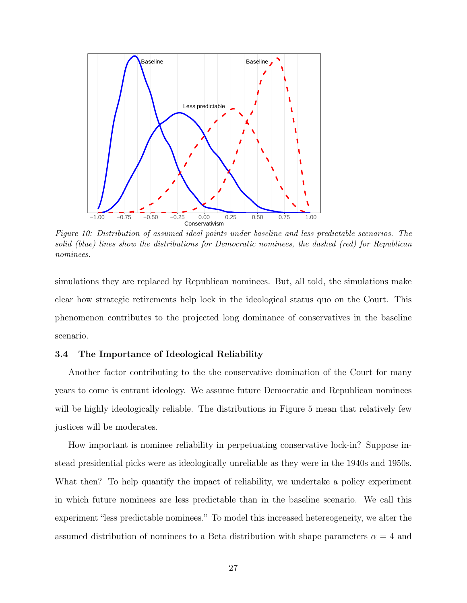

Figure 10: Distribution of assumed ideal points under baseline and less predictable scenarios. The solid (blue) lines show the distributions for Democratic nominees, the dashed (red) for Republican nominees.

simulations they are replaced by Republican nominees. But, all told, the simulations make clear how strategic retirements help lock in the ideological status quo on the Court. This phenomenon contributes to the projected long dominance of conservatives in the baseline scenario.

## 3.4 The Importance of Ideological Reliability

Another factor contributing to the the conservative domination of the Court for many years to come is entrant ideology. We assume future Democratic and Republican nominees will be highly ideologically reliable. The distributions in Figure 5 mean that relatively few justices will be moderates.

How important is nominee reliability in perpetuating conservative lock-in? Suppose instead presidential picks were as ideologically unreliable as they were in the 1940s and 1950s. What then? To help quantify the impact of reliability, we undertake a policy experiment in which future nominees are less predictable than in the baseline scenario. We call this experiment "less predictable nominees." To model this increased hetereogeneity, we alter the assumed distribution of nominees to a Beta distribution with shape parameters  $\alpha = 4$  and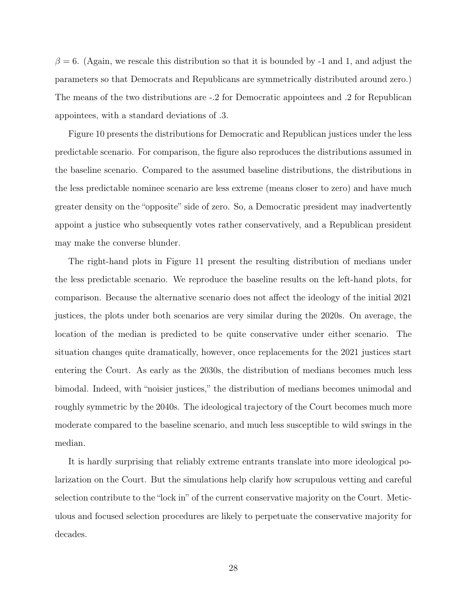$\beta = 6$ . (Again, we rescale this distribution so that it is bounded by -1 and 1, and adjust the parameters so that Democrats and Republicans are symmetrically distributed around zero.) The means of the two distributions are -.2 for Democratic appointees and .2 for Republican appointees, with a standard deviations of .3.

Figure 10 presents the distributions for Democratic and Republican justices under the less predictable scenario. For comparison, the figure also reproduces the distributions assumed in the baseline scenario. Compared to the assumed baseline distributions, the distributions in the less predictable nominee scenario are less extreme (means closer to zero) and have much greater density on the "opposite" side of zero. So, a Democratic president may inadvertently appoint a justice who subsequently votes rather conservatively, and a Republican president may make the converse blunder.

The right-hand plots in Figure 11 present the resulting distribution of medians under the less predictable scenario. We reproduce the baseline results on the left-hand plots, for comparison. Because the alternative scenario does not affect the ideology of the initial 2021 justices, the plots under both scenarios are very similar during the 2020s. On average, the location of the median is predicted to be quite conservative under either scenario. The situation changes quite dramatically, however, once replacements for the 2021 justices start entering the Court. As early as the 2030s, the distribution of medians becomes much less bimodal. Indeed, with "noisier justices," the distribution of medians becomes unimodal and roughly symmetric by the 2040s. The ideological trajectory of the Court becomes much more moderate compared to the baseline scenario, and much less susceptible to wild swings in the median.

It is hardly surprising that reliably extreme entrants translate into more ideological polarization on the Court. But the simulations help clarify how scrupulous vetting and careful selection contribute to the "lock in" of the current conservative majority on the Court. Meticulous and focused selection procedures are likely to perpetuate the conservative majority for decades.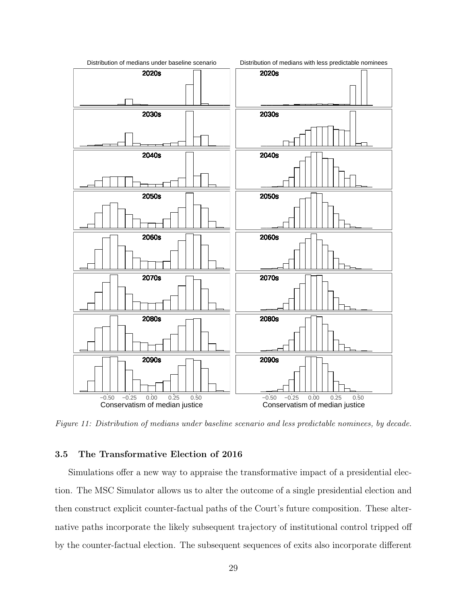

Figure 11: Distribution of medians under baseline scenario and less predictable nominees, by decade.

## 3.5 The Transformative Election of 2016

Simulations offer a new way to appraise the transformative impact of a presidential election. The MSC Simulator allows us to alter the outcome of a single presidential election and then construct explicit counter-factual paths of the Court's future composition. These alternative paths incorporate the likely subsequent trajectory of institutional control tripped off by the counter-factual election. The subsequent sequences of exits also incorporate different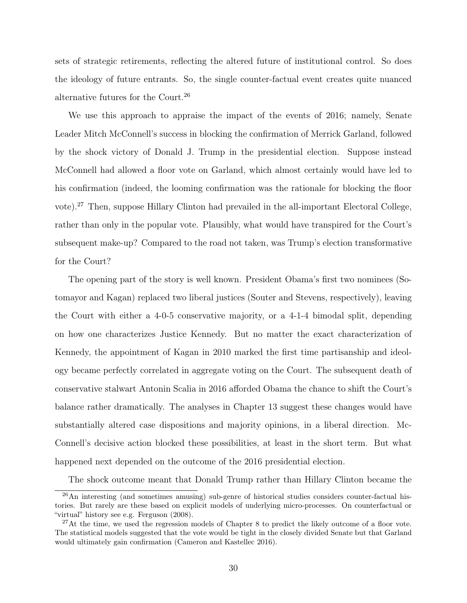sets of strategic retirements, reflecting the altered future of institutional control. So does the ideology of future entrants. So, the single counter-factual event creates quite nuanced alternative futures for the Court.<sup>26</sup>

We use this approach to appraise the impact of the events of 2016; namely, Senate Leader Mitch McConnell's success in blocking the confirmation of Merrick Garland, followed by the shock victory of Donald J. Trump in the presidential election. Suppose instead McConnell had allowed a floor vote on Garland, which almost certainly would have led to his confirmation (indeed, the looming confirmation was the rationale for blocking the floor vote).<sup>27</sup> Then, suppose Hillary Clinton had prevailed in the all-important Electoral College, rather than only in the popular vote. Plausibly, what would have transpired for the Court's subsequent make-up? Compared to the road not taken, was Trump's election transformative for the Court?

The opening part of the story is well known. President Obama's first two nominees (Sotomayor and Kagan) replaced two liberal justices (Souter and Stevens, respectively), leaving the Court with either a 4-0-5 conservative majority, or a 4-1-4 bimodal split, depending on how one characterizes Justice Kennedy. But no matter the exact characterization of Kennedy, the appointment of Kagan in 2010 marked the first time partisanship and ideology became perfectly correlated in aggregate voting on the Court. The subsequent death of conservative stalwart Antonin Scalia in 2016 afforded Obama the chance to shift the Court's balance rather dramatically. The analyses in Chapter 13 suggest these changes would have substantially altered case dispositions and majority opinions, in a liberal direction. Mc-Connell's decisive action blocked these possibilities, at least in the short term. But what happened next depended on the outcome of the 2016 presidential election.

The shock outcome meant that Donald Trump rather than Hillary Clinton became the

<sup>26</sup>An interesting (and sometimes amusing) sub-genre of historical studies considers counter-factual histories. But rarely are these based on explicit models of underlying micro-processes. On counterfactual or "virtual" history see e.g. Ferguson (2008).

 $27$ At the time, we used the regression models of Chapter 8 to predict the likely outcome of a floor vote. The statistical models suggested that the vote would be tight in the closely divided Senate but that Garland would ultimately gain confirmation (Cameron and Kastellec 2016).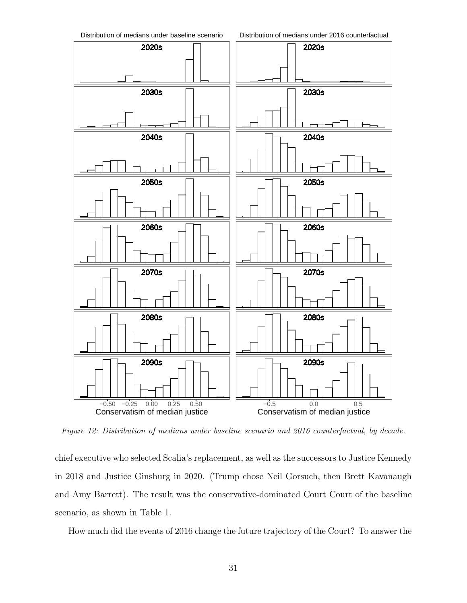

Figure 12: Distribution of medians under baseline scenario and 2016 counterfactual, by decade.

chief executive who selected Scalia's replacement, as well as the successors to Justice Kennedy in 2018 and Justice Ginsburg in 2020. (Trump chose Neil Gorsuch, then Brett Kavanaugh and Amy Barrett). The result was the conservative-dominated Court Court of the baseline scenario, as shown in Table 1.

How much did the events of 2016 change the future trajectory of the Court? To answer the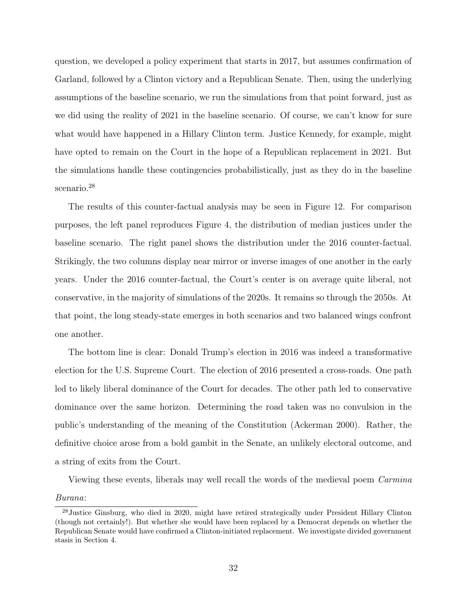question, we developed a policy experiment that starts in 2017, but assumes confirmation of Garland, followed by a Clinton victory and a Republican Senate. Then, using the underlying assumptions of the baseline scenario, we run the simulations from that point forward, just as we did using the reality of 2021 in the baseline scenario. Of course, we can't know for sure what would have happened in a Hillary Clinton term. Justice Kennedy, for example, might have opted to remain on the Court in the hope of a Republican replacement in 2021. But the simulations handle these contingencies probabilistically, just as they do in the baseline scenario.<sup>28</sup>

The results of this counter-factual analysis may be seen in Figure 12. For comparison purposes, the left panel reproduces Figure 4, the distribution of median justices under the baseline scenario. The right panel shows the distribution under the 2016 counter-factual. Strikingly, the two columns display near mirror or inverse images of one another in the early years. Under the 2016 counter-factual, the Court's center is on average quite liberal, not conservative, in the majority of simulations of the 2020s. It remains so through the 2050s. At that point, the long steady-state emerges in both scenarios and two balanced wings confront one another.

The bottom line is clear: Donald Trump's election in 2016 was indeed a transformative election for the U.S. Supreme Court. The election of 2016 presented a cross-roads. One path led to likely liberal dominance of the Court for decades. The other path led to conservative dominance over the same horizon. Determining the road taken was no convulsion in the public's understanding of the meaning of the Constitution (Ackerman 2000). Rather, the definitive choice arose from a bold gambit in the Senate, an unlikely electoral outcome, and a string of exits from the Court.

Viewing these events, liberals may well recall the words of the medieval poem *Carmina* 

#### Burana:

<sup>&</sup>lt;sup>28</sup> Justice Ginsburg, who died in 2020, might have retired strategically under President Hillary Clinton (though not certainly!). But whether she would have been replaced by a Democrat depends on whether the Republican Senate would have confirmed a Clinton-initiated replacement. We investigate divided government stasis in Section 4.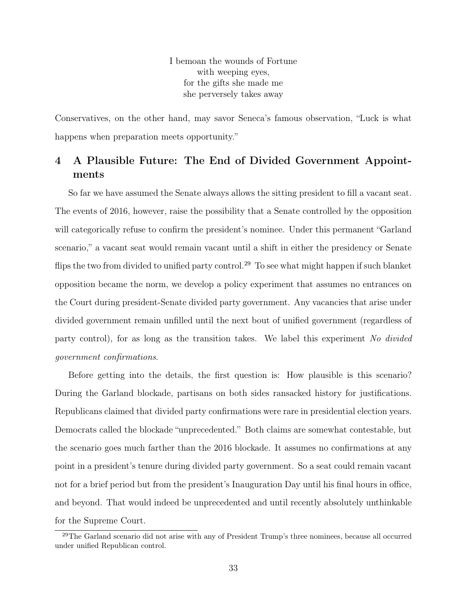I bemoan the wounds of Fortune with weeping eyes, for the gifts she made me she perversely takes away

Conservatives, on the other hand, may savor Seneca's famous observation, "Luck is what happens when preparation meets opportunity."

# 4 A Plausible Future: The End of Divided Government Appointments

So far we have assumed the Senate always allows the sitting president to fill a vacant seat. The events of 2016, however, raise the possibility that a Senate controlled by the opposition will categorically refuse to confirm the president's nominee. Under this permanent "Garland scenario," a vacant seat would remain vacant until a shift in either the presidency or Senate flips the two from divided to unified party control.<sup>29</sup> To see what might happen if such blanket opposition became the norm, we develop a policy experiment that assumes no entrances on the Court during president-Senate divided party government. Any vacancies that arise under divided government remain unfilled until the next bout of unified government (regardless of party control), for as long as the transition takes. We label this experiment No divided government confirmations.

Before getting into the details, the first question is: How plausible is this scenario? During the Garland blockade, partisans on both sides ransacked history for justifications. Republicans claimed that divided party confirmations were rare in presidential election years. Democrats called the blockade "unprecedented." Both claims are somewhat contestable, but the scenario goes much farther than the 2016 blockade. It assumes no confirmations at any point in a president's tenure during divided party government. So a seat could remain vacant not for a brief period but from the president's Inauguration Day until his final hours in office, and beyond. That would indeed be unprecedented and until recently absolutely unthinkable for the Supreme Court.

<sup>29</sup>The Garland scenario did not arise with any of President Trump's three nominees, because all occurred under unified Republican control.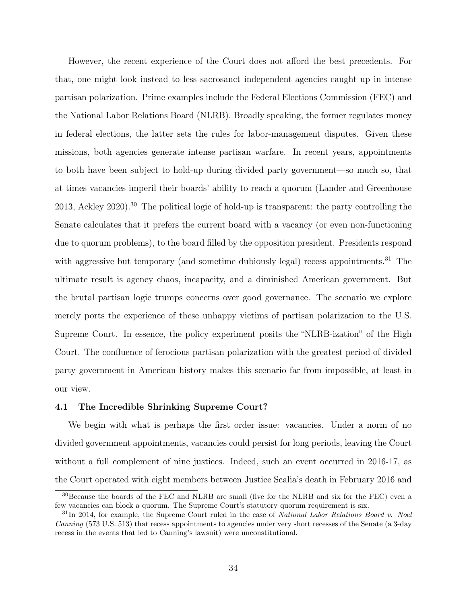However, the recent experience of the Court does not afford the best precedents. For that, one might look instead to less sacrosanct independent agencies caught up in intense partisan polarization. Prime examples include the Federal Elections Commission (FEC) and the National Labor Relations Board (NLRB). Broadly speaking, the former regulates money in federal elections, the latter sets the rules for labor-management disputes. Given these missions, both agencies generate intense partisan warfare. In recent years, appointments to both have been subject to hold-up during divided party government—so much so, that at times vacancies imperil their boards' ability to reach a quorum (Lander and Greenhouse 2013, Ackley 2020).<sup>30</sup> The political logic of hold-up is transparent: the party controlling the Senate calculates that it prefers the current board with a vacancy (or even non-functioning due to quorum problems), to the board filled by the opposition president. Presidents respond with aggressive but temporary (and sometime dubiously legal) recess appointments.<sup>31</sup> The ultimate result is agency chaos, incapacity, and a diminished American government. But the brutal partisan logic trumps concerns over good governance. The scenario we explore merely ports the experience of these unhappy victims of partisan polarization to the U.S. Supreme Court. In essence, the policy experiment posits the "NLRB-ization" of the High Court. The confluence of ferocious partisan polarization with the greatest period of divided party government in American history makes this scenario far from impossible, at least in our view.

## 4.1 The Incredible Shrinking Supreme Court?

We begin with what is perhaps the first order issue: vacancies. Under a norm of no divided government appointments, vacancies could persist for long periods, leaving the Court without a full complement of nine justices. Indeed, such an event occurred in 2016-17, as the Court operated with eight members between Justice Scalia's death in February 2016 and

<sup>30</sup>Because the boards of the FEC and NLRB are small (five for the NLRB and six for the FEC) even a few vacancies can block a quorum. The Supreme Court's statutory quorum requirement is six.

 $31$ In 2014, for example, the Supreme Court ruled in the case of National Labor Relations Board v. Noel Canning (573 U.S. 513) that recess appointments to agencies under very short recesses of the Senate (a 3-day recess in the events that led to Canning's lawsuit) were unconstitutional.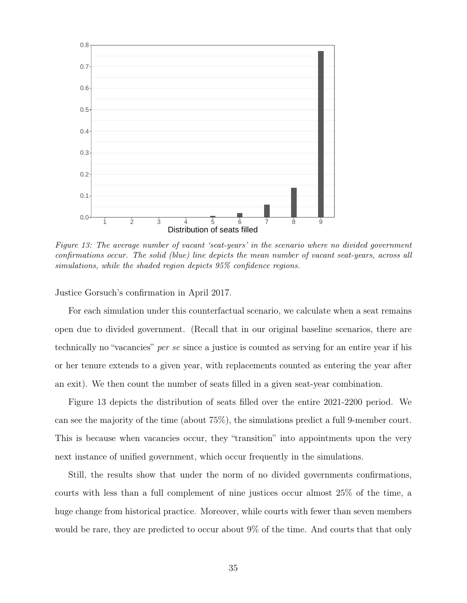

Figure 13: The average number of vacant 'seat-years' in the scenario where no divided government confirmations occur. The solid (blue) line depicts the mean number of vacant seat-years, across all simulations, while the shaded region depicts 95% confidence regions.

Justice Gorsuch's confirmation in April 2017.

For each simulation under this counterfactual scenario, we calculate when a seat remains open due to divided government. (Recall that in our original baseline scenarios, there are technically no "vacancies" per se since a justice is counted as serving for an entire year if his or her tenure extends to a given year, with replacements counted as entering the year after an exit). We then count the number of seats filled in a given seat-year combination.

Figure 13 depicts the distribution of seats filled over the entire 2021-2200 period. We can see the majority of the time (about 75%), the simulations predict a full 9-member court. This is because when vacancies occur, they "transition" into appointments upon the very next instance of unified government, which occur frequently in the simulations.

Still, the results show that under the norm of no divided governments confirmations, courts with less than a full complement of nine justices occur almost 25% of the time, a huge change from historical practice. Moreover, while courts with fewer than seven members would be rare, they are predicted to occur about 9% of the time. And courts that that only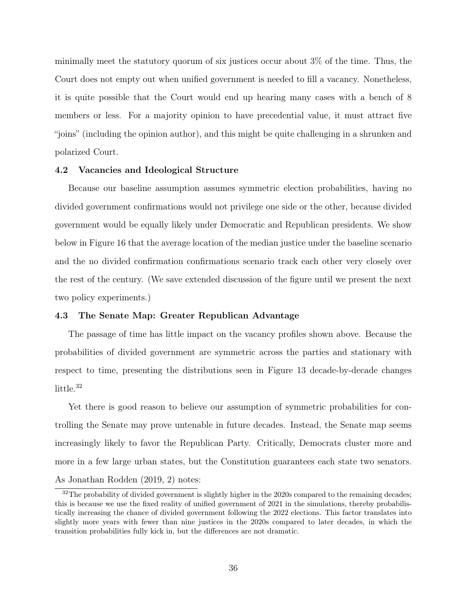minimally meet the statutory quorum of six justices occur about 3% of the time. Thus, the Court does not empty out when unified government is needed to fill a vacancy. Nonetheless, it is quite possible that the Court would end up hearing many cases with a bench of 8 members or less. For a majority opinion to have precedential value, it must attract five "joins" (including the opinion author), and this might be quite challenging in a shrunken and polarized Court.

### 4.2 Vacancies and Ideological Structure

Because our baseline assumption assumes symmetric election probabilities, having no divided government confirmations would not privilege one side or the other, because divided government would be equally likely under Democratic and Republican presidents. We show below in Figure 16 that the average location of the median justice under the baseline scenario and the no divided confirmation confirmations scenario track each other very closely over the rest of the century. (We save extended discussion of the figure until we present the next two policy experiments.)

## 4.3 The Senate Map: Greater Republican Advantage

The passage of time has little impact on the vacancy profiles shown above. Because the probabilities of divided government are symmetric across the parties and stationary with respect to time, presenting the distributions seen in Figure 13 decade-by-decade changes little.<sup>32</sup>

Yet there is good reason to believe our assumption of symmetric probabilities for controlling the Senate may prove untenable in future decades. Instead, the Senate map seems increasingly likely to favor the Republican Party. Critically, Democrats cluster more and more in a few large urban states, but the Constitution guarantees each state two senators. As Jonathan Rodden (2019, 2) notes:

<sup>&</sup>lt;sup>32</sup>The probability of divided government is slightly higher in the 2020s compared to the remaining decades; this is because we use the fixed reality of unified government of 2021 in the simulations, thereby probabilistically increasing the chance of divided government following the 2022 elections. This factor translates into slightly more years with fewer than nine justices in the 2020s compared to later decades, in which the transition probabilities fully kick in, but the differences are not dramatic.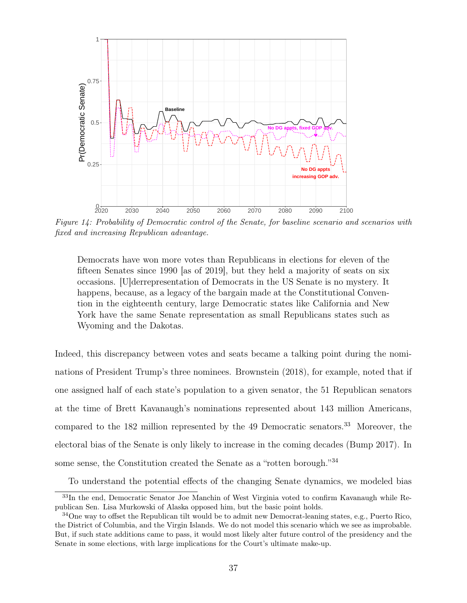

Figure 14: Probability of Democratic control of the Senate, for baseline scenario and scenarios with fixed and increasing Republican advantage.

Democrats have won more votes than Republicans in elections for eleven of the fifteen Senates since 1990 [as of 2019], but they held a majority of seats on six occasions. [U]derrepresentation of Democrats in the US Senate is no mystery. It happens, because, as a legacy of the bargain made at the Constitutional Convention in the eighteenth century, large Democratic states like California and New York have the same Senate representation as small Republicans states such as Wyoming and the Dakotas.

Indeed, this discrepancy between votes and seats became a talking point during the nominations of President Trump's three nominees. Brownstein (2018), for example, noted that if one assigned half of each state's population to a given senator, the 51 Republican senators at the time of Brett Kavanaugh's nominations represented about 143 million Americans, compared to the 182 million represented by the 49 Democratic senators.<sup>33</sup> Moreover, the electoral bias of the Senate is only likely to increase in the coming decades (Bump 2017). In some sense, the Constitution created the Senate as a "rotten borough."<sup>34</sup>

To understand the potential effects of the changing Senate dynamics, we modeled bias

<sup>33</sup>In the end, Democratic Senator Joe Manchin of West Virginia voted to confirm Kavanaugh while Republican Sen. Lisa Murkowski of Alaska opposed him, but the basic point holds.

 $34$ One way to offset the Republican tilt would be to admit new Democrat-leaning states, e.g., Puerto Rico, the District of Columbia, and the Virgin Islands. We do not model this scenario which we see as improbable. But, if such state additions came to pass, it would most likely alter future control of the presidency and the Senate in some elections, with large implications for the Court's ultimate make-up.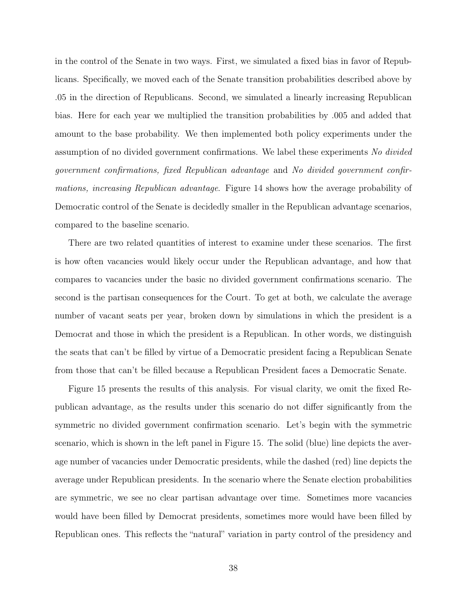in the control of the Senate in two ways. First, we simulated a fixed bias in favor of Republicans. Specifically, we moved each of the Senate transition probabilities described above by .05 in the direction of Republicans. Second, we simulated a linearly increasing Republican bias. Here for each year we multiplied the transition probabilities by .005 and added that amount to the base probability. We then implemented both policy experiments under the assumption of no divided government confirmations. We label these experiments No divided government confirmations, fixed Republican advantage and No divided government confirmations, increasing Republican advantage. Figure 14 shows how the average probability of Democratic control of the Senate is decidedly smaller in the Republican advantage scenarios, compared to the baseline scenario.

There are two related quantities of interest to examine under these scenarios. The first is how often vacancies would likely occur under the Republican advantage, and how that compares to vacancies under the basic no divided government confirmations scenario. The second is the partisan consequences for the Court. To get at both, we calculate the average number of vacant seats per year, broken down by simulations in which the president is a Democrat and those in which the president is a Republican. In other words, we distinguish the seats that can't be filled by virtue of a Democratic president facing a Republican Senate from those that can't be filled because a Republican President faces a Democratic Senate.

Figure 15 presents the results of this analysis. For visual clarity, we omit the fixed Republican advantage, as the results under this scenario do not differ significantly from the symmetric no divided government confirmation scenario. Let's begin with the symmetric scenario, which is shown in the left panel in Figure 15. The solid (blue) line depicts the average number of vacancies under Democratic presidents, while the dashed (red) line depicts the average under Republican presidents. In the scenario where the Senate election probabilities are symmetric, we see no clear partisan advantage over time. Sometimes more vacancies would have been filled by Democrat presidents, sometimes more would have been filled by Republican ones. This reflects the "natural" variation in party control of the presidency and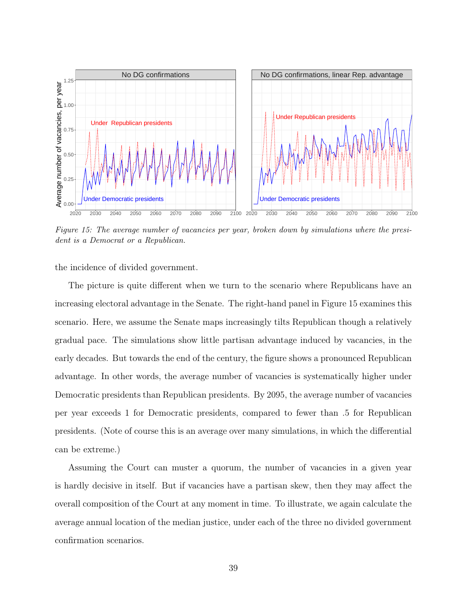

Figure 15: The average number of vacancies per year, broken down by simulations where the president is a Democrat or a Republican.

the incidence of divided government.

The picture is quite different when we turn to the scenario where Republicans have an increasing electoral advantage in the Senate. The right-hand panel in Figure 15 examines this scenario. Here, we assume the Senate maps increasingly tilts Republican though a relatively gradual pace. The simulations show little partisan advantage induced by vacancies, in the early decades. But towards the end of the century, the figure shows a pronounced Republican advantage. In other words, the average number of vacancies is systematically higher under Democratic presidents than Republican presidents. By 2095, the average number of vacancies per year exceeds 1 for Democratic presidents, compared to fewer than .5 for Republican presidents. (Note of course this is an average over many simulations, in which the differential can be extreme.)

Assuming the Court can muster a quorum, the number of vacancies in a given year is hardly decisive in itself. But if vacancies have a partisan skew, then they may affect the overall composition of the Court at any moment in time. To illustrate, we again calculate the average annual location of the median justice, under each of the three no divided government confirmation scenarios.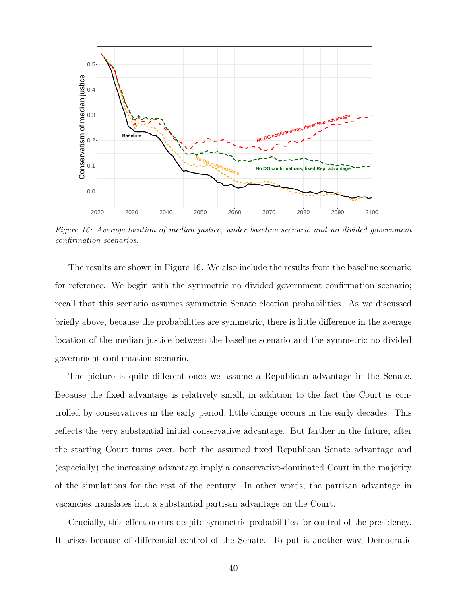

Figure 16: Average location of median justice, under baseline scenario and no divided government confirmation scenarios.

The results are shown in Figure 16. We also include the results from the baseline scenario for reference. We begin with the symmetric no divided government confirmation scenario; recall that this scenario assumes symmetric Senate election probabilities. As we discussed briefly above, because the probabilities are symmetric, there is little difference in the average location of the median justice between the baseline scenario and the symmetric no divided government confirmation scenario.

The picture is quite different once we assume a Republican advantage in the Senate. Because the fixed advantage is relatively small, in addition to the fact the Court is controlled by conservatives in the early period, little change occurs in the early decades. This reflects the very substantial initial conservative advantage. But farther in the future, after the starting Court turns over, both the assumed fixed Republican Senate advantage and (especially) the increasing advantage imply a conservative-dominated Court in the majority of the simulations for the rest of the century. In other words, the partisan advantage in vacancies translates into a substantial partisan advantage on the Court.

Crucially, this effect occurs despite symmetric probabilities for control of the presidency. It arises because of differential control of the Senate. To put it another way, Democratic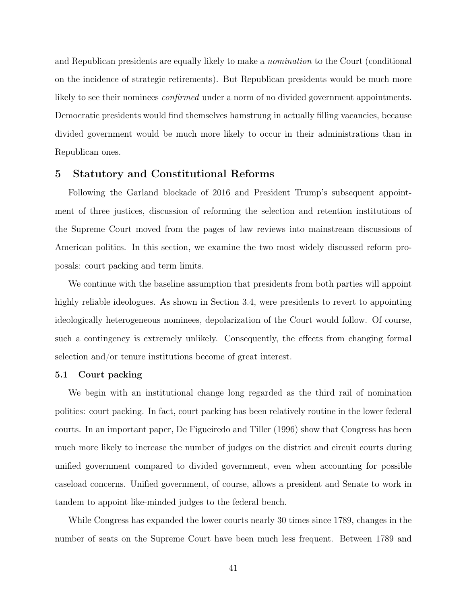and Republican presidents are equally likely to make a nomination to the Court (conditional on the incidence of strategic retirements). But Republican presidents would be much more likely to see their nominees *confirmed* under a norm of no divided government appointments. Democratic presidents would find themselves hamstrung in actually filling vacancies, because divided government would be much more likely to occur in their administrations than in Republican ones.

## 5 Statutory and Constitutional Reforms

Following the Garland blockade of 2016 and President Trump's subsequent appointment of three justices, discussion of reforming the selection and retention institutions of the Supreme Court moved from the pages of law reviews into mainstream discussions of American politics. In this section, we examine the two most widely discussed reform proposals: court packing and term limits.

We continue with the baseline assumption that presidents from both parties will appoint highly reliable ideologues. As shown in Section 3.4, were presidents to revert to appointing ideologically heterogeneous nominees, depolarization of the Court would follow. Of course, such a contingency is extremely unlikely. Consequently, the effects from changing formal selection and/or tenure institutions become of great interest.

## 5.1 Court packing

We begin with an institutional change long regarded as the third rail of nomination politics: court packing. In fact, court packing has been relatively routine in the lower federal courts. In an important paper, De Figueiredo and Tiller (1996) show that Congress has been much more likely to increase the number of judges on the district and circuit courts during unified government compared to divided government, even when accounting for possible caseload concerns. Unified government, of course, allows a president and Senate to work in tandem to appoint like-minded judges to the federal bench.

While Congress has expanded the lower courts nearly 30 times since 1789, changes in the number of seats on the Supreme Court have been much less frequent. Between 1789 and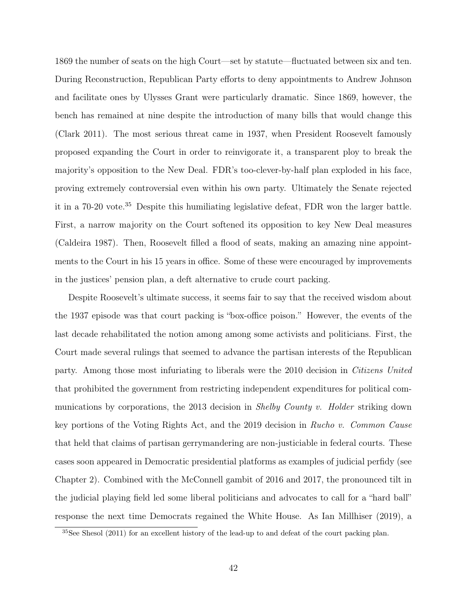1869 the number of seats on the high Court—set by statute—fluctuated between six and ten. During Reconstruction, Republican Party efforts to deny appointments to Andrew Johnson and facilitate ones by Ulysses Grant were particularly dramatic. Since 1869, however, the bench has remained at nine despite the introduction of many bills that would change this (Clark 2011). The most serious threat came in 1937, when President Roosevelt famously proposed expanding the Court in order to reinvigorate it, a transparent ploy to break the majority's opposition to the New Deal. FDR's too-clever-by-half plan exploded in his face, proving extremely controversial even within his own party. Ultimately the Senate rejected it in a 70-20 vote.<sup>35</sup> Despite this humiliating legislative defeat, FDR won the larger battle. First, a narrow majority on the Court softened its opposition to key New Deal measures (Caldeira 1987). Then, Roosevelt filled a flood of seats, making an amazing nine appointments to the Court in his 15 years in office. Some of these were encouraged by improvements in the justices' pension plan, a deft alternative to crude court packing.

Despite Roosevelt's ultimate success, it seems fair to say that the received wisdom about the 1937 episode was that court packing is "box-office poison." However, the events of the last decade rehabilitated the notion among among some activists and politicians. First, the Court made several rulings that seemed to advance the partisan interests of the Republican party. Among those most infuriating to liberals were the 2010 decision in Citizens United that prohibited the government from restricting independent expenditures for political communications by corporations, the 2013 decision in *Shelby County v. Holder* striking down key portions of the Voting Rights Act, and the 2019 decision in Rucho v. Common Cause that held that claims of partisan gerrymandering are non-justiciable in federal courts. These cases soon appeared in Democratic presidential platforms as examples of judicial perfidy (see Chapter 2). Combined with the McConnell gambit of 2016 and 2017, the pronounced tilt in the judicial playing field led some liberal politicians and advocates to call for a "hard ball" response the next time Democrats regained the White House. As Ian Millhiser (2019), a

<sup>35</sup>See Shesol (2011) for an excellent history of the lead-up to and defeat of the court packing plan.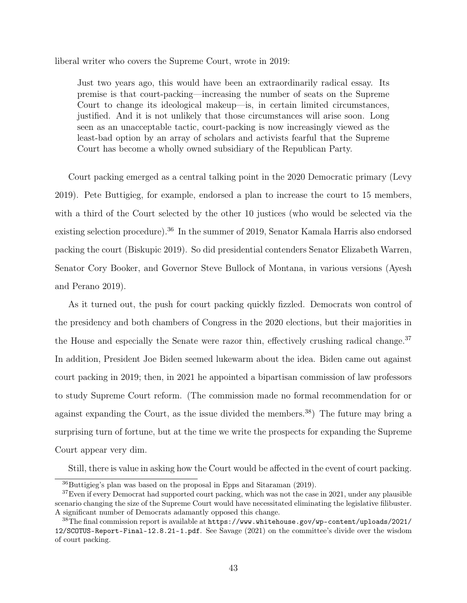liberal writer who covers the Supreme Court, wrote in 2019:

Just two years ago, this would have been an extraordinarily radical essay. Its premise is that court-packing—increasing the number of seats on the Supreme Court to change its ideological makeup—is, in certain limited circumstances, justified. And it is not unlikely that those circumstances will arise soon. Long seen as an unacceptable tactic, court-packing is now increasingly viewed as the least-bad option by an array of scholars and activists fearful that the Supreme Court has become a wholly owned subsidiary of the Republican Party.

Court packing emerged as a central talking point in the 2020 Democratic primary (Levy 2019). Pete Buttigieg, for example, endorsed a plan to increase the court to 15 members, with a third of the Court selected by the other 10 justices (who would be selected via the existing selection procedure).<sup>36</sup> In the summer of 2019, Senator Kamala Harris also endorsed packing the court (Biskupic 2019). So did presidential contenders Senator Elizabeth Warren, Senator Cory Booker, and Governor Steve Bullock of Montana, in various versions (Ayesh and Perano 2019).

As it turned out, the push for court packing quickly fizzled. Democrats won control of the presidency and both chambers of Congress in the 2020 elections, but their majorities in the House and especially the Senate were razor thin, effectively crushing radical change.<sup>37</sup> In addition, President Joe Biden seemed lukewarm about the idea. Biden came out against court packing in 2019; then, in 2021 he appointed a bipartisan commission of law professors to study Supreme Court reform. (The commission made no formal recommendation for or against expanding the Court, as the issue divided the members.<sup>38</sup>) The future may bring a surprising turn of fortune, but at the time we write the prospects for expanding the Supreme Court appear very dim.

Still, there is value in asking how the Court would be affected in the event of court packing.

<sup>36</sup>Buttigieg's plan was based on the proposal in Epps and Sitaraman (2019).

 $37$ Even if every Democrat had supported court packing, which was not the case in 2021, under any plausible scenario changing the size of the Supreme Court would have necessitated eliminating the legislative filibuster. A significant number of Democrats adamantly opposed this change.

<sup>38</sup>The final commission report is available at https://www.whitehouse.gov/wp-content/uploads/2021/ 12/SCOTUS-Report-Final-12.8.21-1.pdf. See Savage (2021) on the committee's divide over the wisdom of court packing.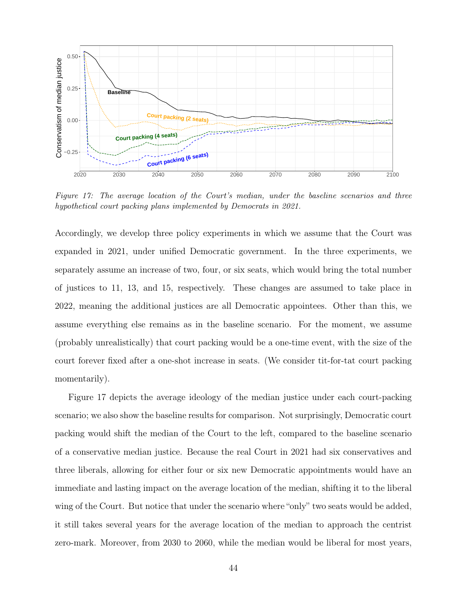

Figure 17: The average location of the Court's median, under the baseline scenarios and three hypothetical court packing plans implemented by Democrats in 2021.

Accordingly, we develop three policy experiments in which we assume that the Court was expanded in 2021, under unified Democratic government. In the three experiments, we separately assume an increase of two, four, or six seats, which would bring the total number of justices to 11, 13, and 15, respectively. These changes are assumed to take place in 2022, meaning the additional justices are all Democratic appointees. Other than this, we assume everything else remains as in the baseline scenario. For the moment, we assume (probably unrealistically) that court packing would be a one-time event, with the size of the court forever fixed after a one-shot increase in seats. (We consider tit-for-tat court packing momentarily).

Figure 17 depicts the average ideology of the median justice under each court-packing scenario; we also show the baseline results for comparison. Not surprisingly, Democratic court packing would shift the median of the Court to the left, compared to the baseline scenario of a conservative median justice. Because the real Court in 2021 had six conservatives and three liberals, allowing for either four or six new Democratic appointments would have an immediate and lasting impact on the average location of the median, shifting it to the liberal wing of the Court. But notice that under the scenario where "only" two seats would be added, it still takes several years for the average location of the median to approach the centrist zero-mark. Moreover, from 2030 to 2060, while the median would be liberal for most years,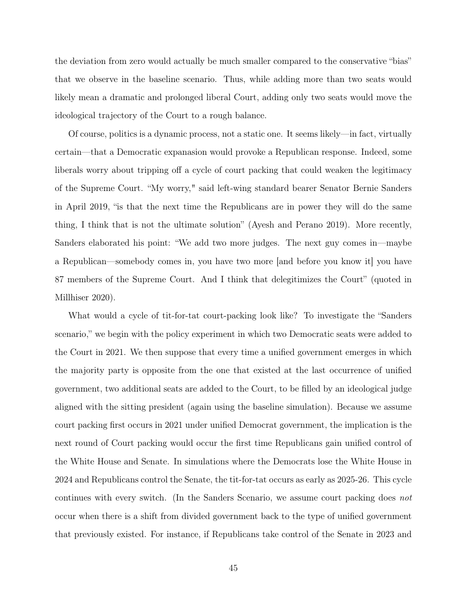the deviation from zero would actually be much smaller compared to the conservative "bias" that we observe in the baseline scenario. Thus, while adding more than two seats would likely mean a dramatic and prolonged liberal Court, adding only two seats would move the ideological trajectory of the Court to a rough balance.

Of course, politics is a dynamic process, not a static one. It seems likely—in fact, virtually certain—that a Democratic expanasion would provoke a Republican response. Indeed, some liberals worry about tripping off a cycle of court packing that could weaken the legitimacy of the Supreme Court. "My worry," said left-wing standard bearer Senator Bernie Sanders in April 2019, "is that the next time the Republicans are in power they will do the same thing, I think that is not the ultimate solution" (Ayesh and Perano 2019). More recently, Sanders elaborated his point: "We add two more judges. The next guy comes in—maybe a Republican—somebody comes in, you have two more [and before you know it] you have 87 members of the Supreme Court. And I think that delegitimizes the Court" (quoted in Millhiser 2020).

What would a cycle of tit-for-tat court-packing look like? To investigate the "Sanders scenario," we begin with the policy experiment in which two Democratic seats were added to the Court in 2021. We then suppose that every time a unified government emerges in which the majority party is opposite from the one that existed at the last occurrence of unified government, two additional seats are added to the Court, to be filled by an ideological judge aligned with the sitting president (again using the baseline simulation). Because we assume court packing first occurs in 2021 under unified Democrat government, the implication is the next round of Court packing would occur the first time Republicans gain unified control of the White House and Senate. In simulations where the Democrats lose the White House in 2024 and Republicans control the Senate, the tit-for-tat occurs as early as 2025-26. This cycle continues with every switch. (In the Sanders Scenario, we assume court packing does not occur when there is a shift from divided government back to the type of unified government that previously existed. For instance, if Republicans take control of the Senate in 2023 and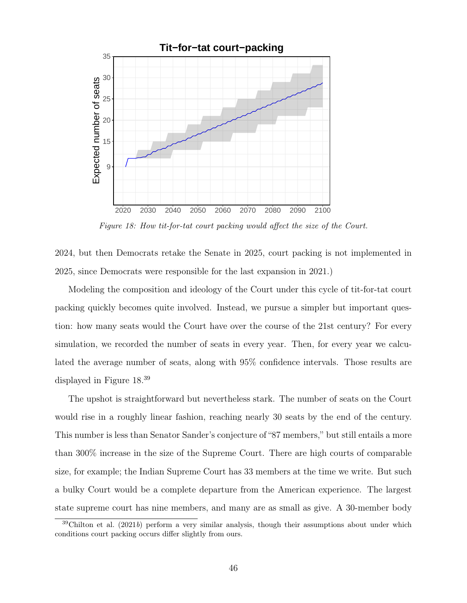

Figure 18: How tit-for-tat court packing would affect the size of the Court.

2024, but then Democrats retake the Senate in 2025, court packing is not implemented in 2025, since Democrats were responsible for the last expansion in 2021.)

Modeling the composition and ideology of the Court under this cycle of tit-for-tat court packing quickly becomes quite involved. Instead, we pursue a simpler but important question: how many seats would the Court have over the course of the 21st century? For every simulation, we recorded the number of seats in every year. Then, for every year we calculated the average number of seats, along with 95% confidence intervals. Those results are displayed in Figure 18.<sup>39</sup>

The upshot is straightforward but nevertheless stark. The number of seats on the Court would rise in a roughly linear fashion, reaching nearly 30 seats by the end of the century. This number is less than Senator Sander's conjecture of "87 members," but still entails a more than 300% increase in the size of the Supreme Court. There are high courts of comparable size, for example; the Indian Supreme Court has 33 members at the time we write. But such a bulky Court would be a complete departure from the American experience. The largest state supreme court has nine members, and many are as small as give. A 30-member body

 $39$ Chilton et al. (2021b) perform a very similar analysis, though their assumptions about under which conditions court packing occurs differ slightly from ours.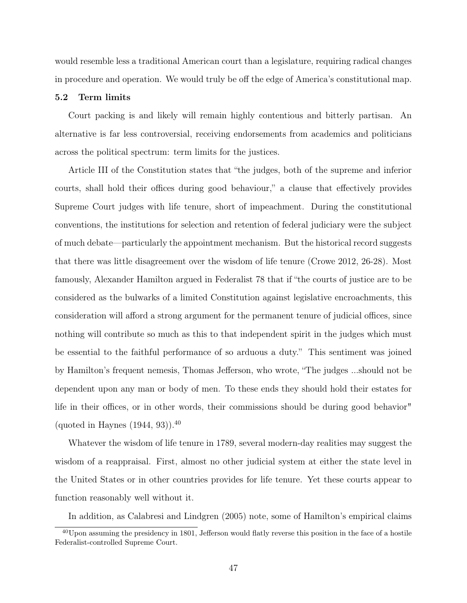would resemble less a traditional American court than a legislature, requiring radical changes in procedure and operation. We would truly be off the edge of America's constitutional map.

#### 5.2 Term limits

Court packing is and likely will remain highly contentious and bitterly partisan. An alternative is far less controversial, receiving endorsements from academics and politicians across the political spectrum: term limits for the justices.

Article III of the Constitution states that "the judges, both of the supreme and inferior courts, shall hold their offices during good behaviour," a clause that effectively provides Supreme Court judges with life tenure, short of impeachment. During the constitutional conventions, the institutions for selection and retention of federal judiciary were the subject of much debate—particularly the appointment mechanism. But the historical record suggests that there was little disagreement over the wisdom of life tenure (Crowe 2012, 26-28). Most famously, Alexander Hamilton argued in Federalist 78 that if "the courts of justice are to be considered as the bulwarks of a limited Constitution against legislative encroachments, this consideration will afford a strong argument for the permanent tenure of judicial offices, since nothing will contribute so much as this to that independent spirit in the judges which must be essential to the faithful performance of so arduous a duty." This sentiment was joined by Hamilton's frequent nemesis, Thomas Jefferson, who wrote, "The judges ...should not be dependent upon any man or body of men. To these ends they should hold their estates for life in their offices, or in other words, their commissions should be during good behavior" (quoted in Haynes  $(1944, 93)$ ).<sup>40</sup>

Whatever the wisdom of life tenure in 1789, several modern-day realities may suggest the wisdom of a reappraisal. First, almost no other judicial system at either the state level in the United States or in other countries provides for life tenure. Yet these courts appear to function reasonably well without it.

In addition, as Calabresi and Lindgren (2005) note, some of Hamilton's empirical claims

 $^{40}$ Upon assuming the presidency in 1801, Jefferson would flatly reverse this position in the face of a hostile Federalist-controlled Supreme Court.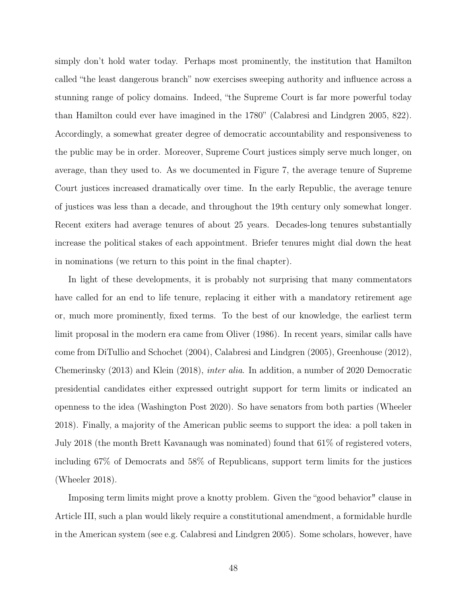simply don't hold water today. Perhaps most prominently, the institution that Hamilton called "the least dangerous branch" now exercises sweeping authority and influence across a stunning range of policy domains. Indeed, "the Supreme Court is far more powerful today than Hamilton could ever have imagined in the 1780" (Calabresi and Lindgren 2005, 822). Accordingly, a somewhat greater degree of democratic accountability and responsiveness to the public may be in order. Moreover, Supreme Court justices simply serve much longer, on average, than they used to. As we documented in Figure 7, the average tenure of Supreme Court justices increased dramatically over time. In the early Republic, the average tenure of justices was less than a decade, and throughout the 19th century only somewhat longer. Recent exiters had average tenures of about 25 years. Decades-long tenures substantially increase the political stakes of each appointment. Briefer tenures might dial down the heat in nominations (we return to this point in the final chapter).

In light of these developments, it is probably not surprising that many commentators have called for an end to life tenure, replacing it either with a mandatory retirement age or, much more prominently, fixed terms. To the best of our knowledge, the earliest term limit proposal in the modern era came from Oliver (1986). In recent years, similar calls have come from DiTullio and Schochet (2004), Calabresi and Lindgren (2005), Greenhouse (2012), Chemerinsky (2013) and Klein (2018), inter alia. In addition, a number of 2020 Democratic presidential candidates either expressed outright support for term limits or indicated an openness to the idea (Washington Post 2020). So have senators from both parties (Wheeler 2018). Finally, a majority of the American public seems to support the idea: a poll taken in July 2018 (the month Brett Kavanaugh was nominated) found that 61% of registered voters, including 67% of Democrats and 58% of Republicans, support term limits for the justices (Wheeler 2018).

Imposing term limits might prove a knotty problem. Given the "good behavior" clause in Article III, such a plan would likely require a constitutional amendment, a formidable hurdle in the American system (see e.g. Calabresi and Lindgren 2005). Some scholars, however, have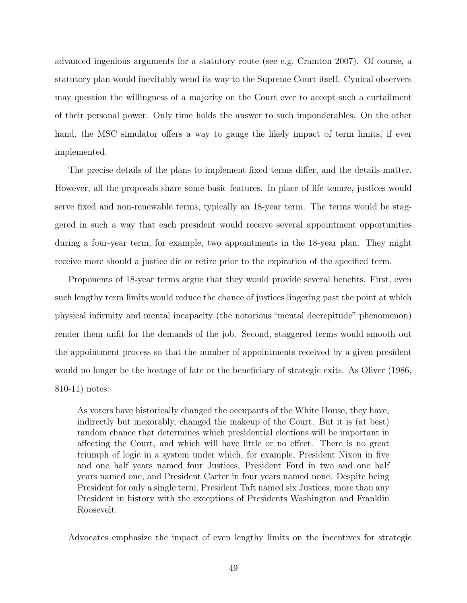advanced ingenious arguments for a statutory route (see e.g. Cramton 2007). Of course, a statutory plan would inevitably wend its way to the Supreme Court itself. Cynical observers may question the willingness of a majority on the Court ever to accept such a curtailment of their personal power. Only time holds the answer to such imponderables. On the other hand, the MSC simulator offers a way to gauge the likely impact of term limits, if ever implemented.

The precise details of the plans to implement fixed terms differ, and the details matter. However, all the proposals share some basic features. In place of life tenure, justices would serve fixed and non-renewable terms, typically an 18-year term. The terms would be staggered in such a way that each president would receive several appointment opportunities during a four-year term, for example, two appointments in the 18-year plan. They might receive more should a justice die or retire prior to the expiration of the specified term.

Proponents of 18-year terms argue that they would provide several benefits. First, even such lengthy term limits would reduce the chance of justices lingering past the point at which physical infirmity and mental incapacity (the notorious "mental decrepitude" phenomenon) render them unfit for the demands of the job. Second, staggered terms would smooth out the appointment process so that the number of appointments received by a given president would no longer be the hostage of fate or the beneficiary of strategic exits. As Oliver (1986, 810-11) notes:

As voters have historically changed the occupants of the White House, they have, indirectly but inexorably, changed the makeup of the Court. But it is (at best) random chance that determines which presidential elections will be important in affecting the Court, and which will have little or no effect. There is no great triumph of logic in a system under which, for example, President Nixon in five and one half years named four Justices, President Ford in two and one half years named one, and President Carter in four years named none. Despite being President for only a single term, President Taft named six Justices, more than any President in history with the exceptions of Presidents Washington and Franklin Roosevelt.

Advocates emphasize the impact of even lengthy limits on the incentives for strategic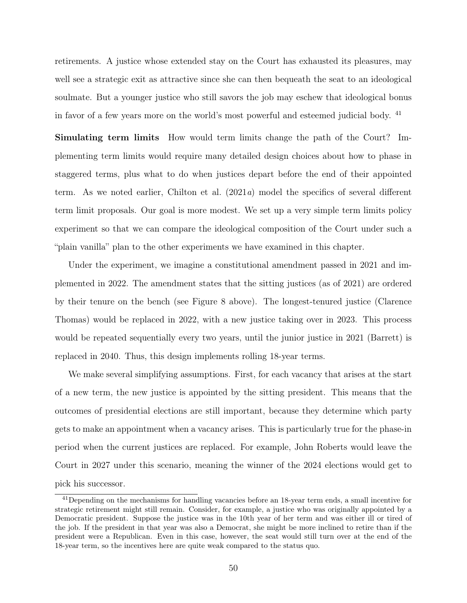retirements. A justice whose extended stay on the Court has exhausted its pleasures, may well see a strategic exit as attractive since she can then bequeath the seat to an ideological soulmate. But a younger justice who still savors the job may eschew that ideological bonus in favor of a few years more on the world's most powerful and esteemed judicial body. <sup>41</sup>

Simulating term limits How would term limits change the path of the Court? Implementing term limits would require many detailed design choices about how to phase in staggered terms, plus what to do when justices depart before the end of their appointed term. As we noted earlier, Chilton et al. (2021a) model the specifics of several different term limit proposals. Our goal is more modest. We set up a very simple term limits policy experiment so that we can compare the ideological composition of the Court under such a "plain vanilla" plan to the other experiments we have examined in this chapter.

Under the experiment, we imagine a constitutional amendment passed in 2021 and implemented in 2022. The amendment states that the sitting justices (as of 2021) are ordered by their tenure on the bench (see Figure 8 above). The longest-tenured justice (Clarence Thomas) would be replaced in 2022, with a new justice taking over in 2023. This process would be repeated sequentially every two years, until the junior justice in 2021 (Barrett) is replaced in 2040. Thus, this design implements rolling 18-year terms.

We make several simplifying assumptions. First, for each vacancy that arises at the start of a new term, the new justice is appointed by the sitting president. This means that the outcomes of presidential elections are still important, because they determine which party gets to make an appointment when a vacancy arises. This is particularly true for the phase-in period when the current justices are replaced. For example, John Roberts would leave the Court in 2027 under this scenario, meaning the winner of the 2024 elections would get to pick his successor.

<sup>41</sup>Depending on the mechanisms for handling vacancies before an 18-year term ends, a small incentive for strategic retirement might still remain. Consider, for example, a justice who was originally appointed by a Democratic president. Suppose the justice was in the 10th year of her term and was either ill or tired of the job. If the president in that year was also a Democrat, she might be more inclined to retire than if the president were a Republican. Even in this case, however, the seat would still turn over at the end of the 18-year term, so the incentives here are quite weak compared to the status quo.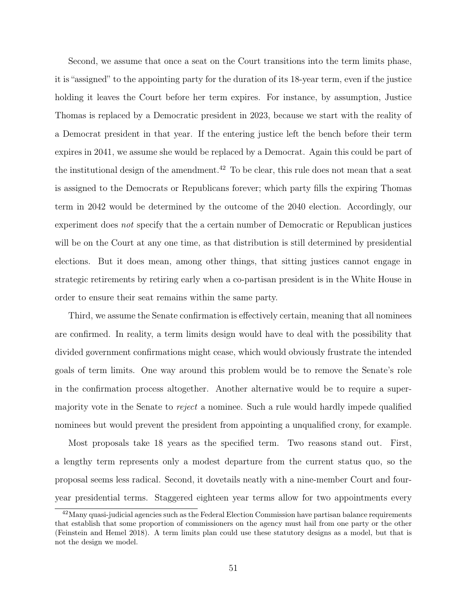Second, we assume that once a seat on the Court transitions into the term limits phase, it is "assigned" to the appointing party for the duration of its 18-year term, even if the justice holding it leaves the Court before her term expires. For instance, by assumption, Justice Thomas is replaced by a Democratic president in 2023, because we start with the reality of a Democrat president in that year. If the entering justice left the bench before their term expires in 2041, we assume she would be replaced by a Democrat. Again this could be part of the institutional design of the amendment.<sup>42</sup> To be clear, this rule does not mean that a seat is assigned to the Democrats or Republicans forever; which party fills the expiring Thomas term in 2042 would be determined by the outcome of the 2040 election. Accordingly, our experiment does not specify that the a certain number of Democratic or Republican justices will be on the Court at any one time, as that distribution is still determined by presidential elections. But it does mean, among other things, that sitting justices cannot engage in strategic retirements by retiring early when a co-partisan president is in the White House in order to ensure their seat remains within the same party.

Third, we assume the Senate confirmation is effectively certain, meaning that all nominees are confirmed. In reality, a term limits design would have to deal with the possibility that divided government confirmations might cease, which would obviously frustrate the intended goals of term limits. One way around this problem would be to remove the Senate's role in the confirmation process altogether. Another alternative would be to require a supermajority vote in the Senate to reject a nominee. Such a rule would hardly impede qualified nominees but would prevent the president from appointing a unqualified crony, for example.

Most proposals take 18 years as the specified term. Two reasons stand out. First, a lengthy term represents only a modest departure from the current status quo, so the proposal seems less radical. Second, it dovetails neatly with a nine-member Court and fouryear presidential terms. Staggered eighteen year terms allow for two appointments every

<sup>42</sup>Many quasi-judicial agencies such as the Federal Election Commission have partisan balance requirements that establish that some proportion of commissioners on the agency must hail from one party or the other (Feinstein and Hemel 2018). A term limits plan could use these statutory designs as a model, but that is not the design we model.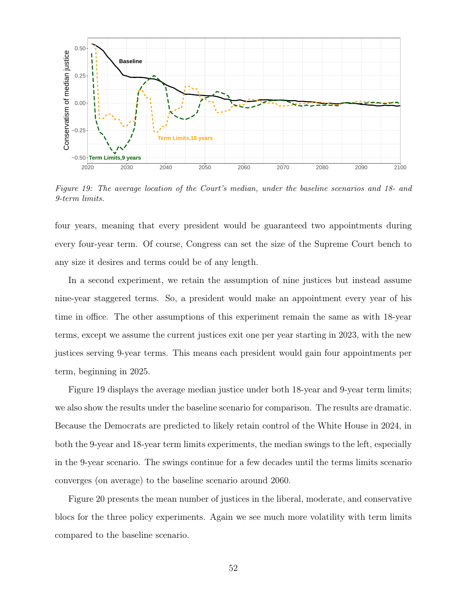

Figure 19: The average location of the Court's median, under the baseline scenarios and 18- and 9-term limits.

four years, meaning that every president would be guaranteed two appointments during every four-year term. Of course, Congress can set the size of the Supreme Court bench to any size it desires and terms could be of any length.

In a second experiment, we retain the assumption of nine justices but instead assume nine-year staggered terms. So, a president would make an appointment every year of his time in office. The other assumptions of this experiment remain the same as with 18-year terms, except we assume the current justices exit one per year starting in 2023, with the new justices serving 9-year terms. This means each president would gain four appointments per term, beginning in 2025.

Figure 19 displays the average median justice under both 18-year and 9-year term limits; we also show the results under the baseline scenario for comparison. The results are dramatic. Because the Democrats are predicted to likely retain control of the White House in 2024, in both the 9-year and 18-year term limits experiments, the median swings to the left, especially in the 9-year scenario. The swings continue for a few decades until the terms limits scenario converges (on average) to the baseline scenario around 2060.

Figure 20 presents the mean number of justices in the liberal, moderate, and conservative blocs for the three policy experiments. Again we see much more volatility with term limits compared to the baseline scenario.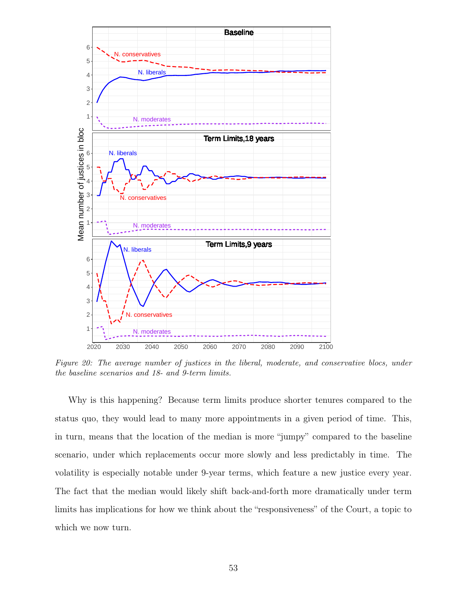

Figure 20: The average number of justices in the liberal, moderate, and conservative blocs, under the baseline scenarios and 18- and 9-term limits.

Why is this happening? Because term limits produce shorter tenures compared to the status quo, they would lead to many more appointments in a given period of time. This, in turn, means that the location of the median is more "jumpy" compared to the baseline scenario, under which replacements occur more slowly and less predictably in time. The volatility is especially notable under 9-year terms, which feature a new justice every year. The fact that the median would likely shift back-and-forth more dramatically under term limits has implications for how we think about the "responsiveness" of the Court, a topic to which we now turn.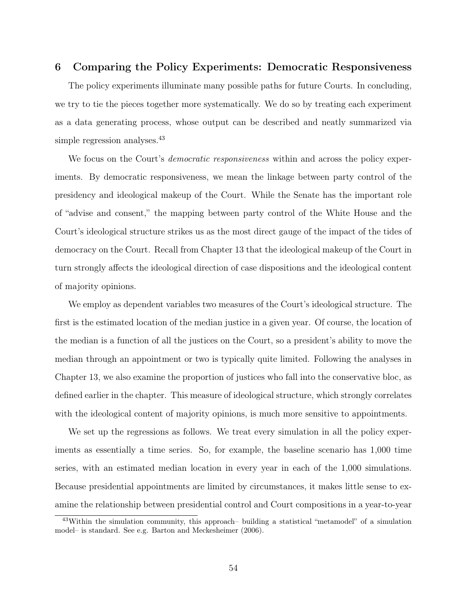## 6 Comparing the Policy Experiments: Democratic Responsiveness

The policy experiments illuminate many possible paths for future Courts. In concluding, we try to tie the pieces together more systematically. We do so by treating each experiment as a data generating process, whose output can be described and neatly summarized via simple regression analyses.<sup>43</sup>

We focus on the Court's *democratic responsiveness* within and across the policy experiments. By democratic responsiveness, we mean the linkage between party control of the presidency and ideological makeup of the Court. While the Senate has the important role of "advise and consent," the mapping between party control of the White House and the Court's ideological structure strikes us as the most direct gauge of the impact of the tides of democracy on the Court. Recall from Chapter 13 that the ideological makeup of the Court in turn strongly affects the ideological direction of case dispositions and the ideological content of majority opinions.

We employ as dependent variables two measures of the Court's ideological structure. The first is the estimated location of the median justice in a given year. Of course, the location of the median is a function of all the justices on the Court, so a president's ability to move the median through an appointment or two is typically quite limited. Following the analyses in Chapter 13, we also examine the proportion of justices who fall into the conservative bloc, as defined earlier in the chapter. This measure of ideological structure, which strongly correlates with the ideological content of majority opinions, is much more sensitive to appointments.

We set up the regressions as follows. We treat every simulation in all the policy experiments as essentially a time series. So, for example, the baseline scenario has 1,000 time series, with an estimated median location in every year in each of the 1,000 simulations. Because presidential appointments are limited by circumstances, it makes little sense to examine the relationship between presidential control and Court compositions in a year-to-year

<sup>43</sup>Within the simulation community, this approach– building a statistical "metamodel" of a simulation model– is standard. See e.g. Barton and Meckesheimer (2006).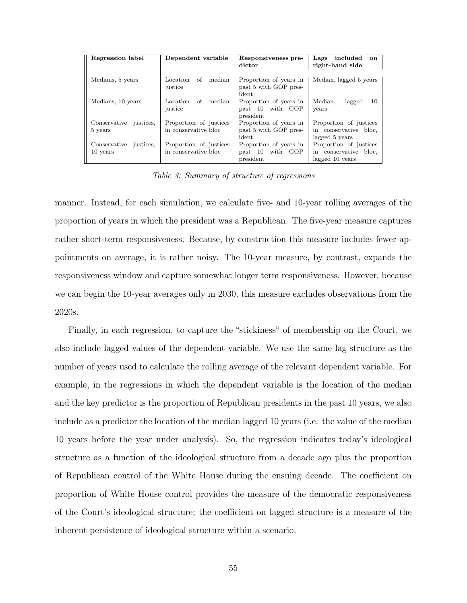| Regression label                   | Dependent variable                             | Responsiveness pre-<br>dictor                              | included<br>Lags<br><b>on</b><br>right-hand side                   |
|------------------------------------|------------------------------------------------|------------------------------------------------------------|--------------------------------------------------------------------|
| Medians, 5 years                   | median<br>Location<br>of<br>justice            | Proportion of years in<br>past 5 with GOP pres-<br>ident   | Median, lagged 5 years                                             |
| Medians, 10 years                  | median<br>Location<br>of<br>justice            | Proportion of years in<br>past 10 with GOP<br>president    | Median,<br>lagged<br>10<br>years                                   |
| Conservative justices,<br>5 years  | Proportion of justices<br>in conservative bloc | Proportion of years in<br>past 5 with GOP pres-<br>ident   | Proportion of justices<br>in conservative bloc.<br>lagged 5 years  |
| Conservative justices,<br>10 years | Proportion of justices<br>in conservative bloc | Proportion of years in<br>with GOP<br>past 10<br>president | Proportion of justices<br>in conservative bloc.<br>lagged 10 years |

Table 3: Summary of structure of regressions

manner. Instead, for each simulation, we calculate five- and 10-year rolling averages of the proportion of years in which the president was a Republican. The five-year measure captures rather short-term responsiveness. Because, by construction this measure includes fewer appointments on average, it is rather noisy. The 10-year measure, by contrast, expands the responsiveness window and capture somewhat longer term responsiveness. However, because we can begin the 10-year averages only in 2030, this measure excludes observations from the 2020s.

Finally, in each regression, to capture the "stickiness" of membership on the Court, we also include lagged values of the dependent variable. We use the same lag structure as the number of years used to calculate the rolling average of the relevant dependent variable. For example, in the regressions in which the dependent variable is the location of the median and the key predictor is the proportion of Republican presidents in the past 10 years, we also include as a predictor the location of the median lagged 10 years (i.e. the value of the median 10 years before the year under analysis). So, the regression indicates today's ideological structure as a function of the ideological structure from a decade ago plus the proportion of Republican control of the White House during the ensuing decade. The coefficient on proportion of White House control provides the measure of the democratic responsiveness of the Court's ideological structure; the coefficient on lagged structure is a measure of the inherent persistence of ideological structure within a scenario.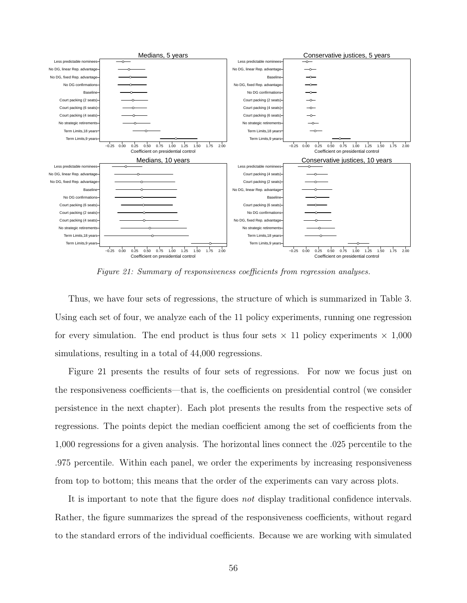

Figure 21: Summary of responsiveness coefficients from regression analyses.

Thus, we have four sets of regressions, the structure of which is summarized in Table 3. Using each set of four, we analyze each of the 11 policy experiments, running one regression for every simulation. The end product is thus four sets  $\times$  11 policy experiments  $\times$  1,000 simulations, resulting in a total of 44,000 regressions.

Figure 21 presents the results of four sets of regressions. For now we focus just on the responsiveness coefficients—that is, the coefficients on presidential control (we consider persistence in the next chapter). Each plot presents the results from the respective sets of regressions. The points depict the median coefficient among the set of coefficients from the 1,000 regressions for a given analysis. The horizontal lines connect the .025 percentile to the .975 percentile. Within each panel, we order the experiments by increasing responsiveness from top to bottom; this means that the order of the experiments can vary across plots.

It is important to note that the figure does not display traditional confidence intervals. Rather, the figure summarizes the spread of the responsiveness coefficients, without regard to the standard errors of the individual coefficients. Because we are working with simulated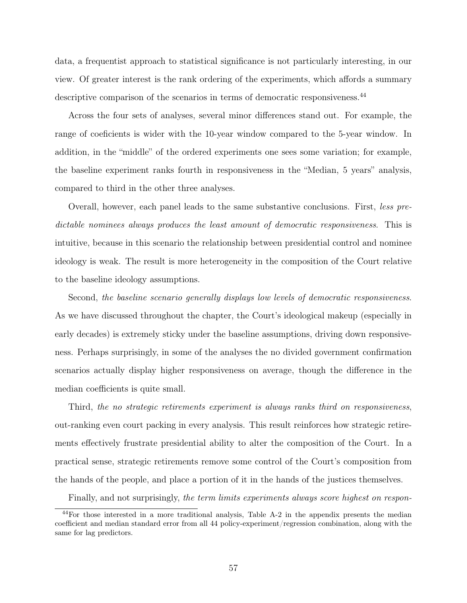data, a frequentist approach to statistical significance is not particularly interesting, in our view. Of greater interest is the rank ordering of the experiments, which affords a summary descriptive comparison of the scenarios in terms of democratic responsiveness.<sup>44</sup>

Across the four sets of analyses, several minor differences stand out. For example, the range of coeficients is wider with the 10-year window compared to the 5-year window. In addition, in the "middle" of the ordered experiments one sees some variation; for example, the baseline experiment ranks fourth in responsiveness in the "Median, 5 years" analysis, compared to third in the other three analyses.

Overall, however, each panel leads to the same substantive conclusions. First, less predictable nominees always produces the least amount of democratic responsiveness. This is intuitive, because in this scenario the relationship between presidential control and nominee ideology is weak. The result is more heterogeneity in the composition of the Court relative to the baseline ideology assumptions.

Second, the baseline scenario generally displays low levels of democratic responsiveness. As we have discussed throughout the chapter, the Court's ideological makeup (especially in early decades) is extremely sticky under the baseline assumptions, driving down responsiveness. Perhaps surprisingly, in some of the analyses the no divided government confirmation scenarios actually display higher responsiveness on average, though the difference in the median coefficients is quite small.

Third, the no strategic retirements experiment is always ranks third on responsiveness, out-ranking even court packing in every analysis. This result reinforces how strategic retirements effectively frustrate presidential ability to alter the composition of the Court. In a practical sense, strategic retirements remove some control of the Court's composition from the hands of the people, and place a portion of it in the hands of the justices themselves.

Finally, and not surprisingly, the term limits experiments always score highest on respon-

<sup>44</sup>For those interested in a more traditional analysis, Table A-2 in the appendix presents the median coefficient and median standard error from all 44 policy-experiment/regression combination, along with the same for lag predictors.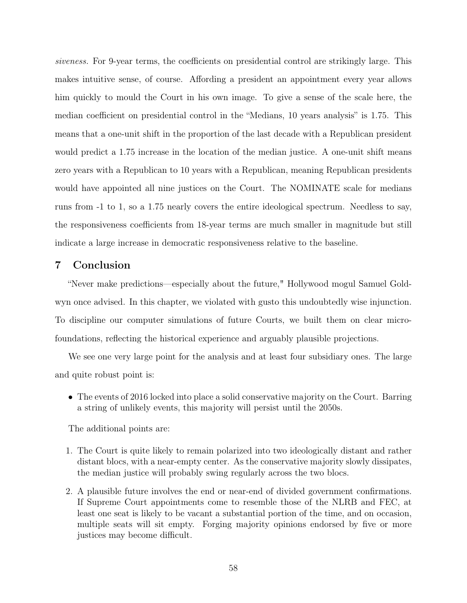siveness. For 9-year terms, the coefficients on presidential control are strikingly large. This makes intuitive sense, of course. Affording a president an appointment every year allows him quickly to mould the Court in his own image. To give a sense of the scale here, the median coefficient on presidential control in the "Medians, 10 years analysis" is 1.75. This means that a one-unit shift in the proportion of the last decade with a Republican president would predict a 1.75 increase in the location of the median justice. A one-unit shift means zero years with a Republican to 10 years with a Republican, meaning Republican presidents would have appointed all nine justices on the Court. The NOMINATE scale for medians runs from -1 to 1, so a 1.75 nearly covers the entire ideological spectrum. Needless to say, the responsiveness coefficients from 18-year terms are much smaller in magnitude but still indicate a large increase in democratic responsiveness relative to the baseline.

## 7 Conclusion

"Never make predictions—especially about the future," Hollywood mogul Samuel Goldwyn once advised. In this chapter, we violated with gusto this undoubtedly wise injunction. To discipline our computer simulations of future Courts, we built them on clear microfoundations, reflecting the historical experience and arguably plausible projections.

We see one very large point for the analysis and at least four subsidiary ones. The large and quite robust point is:

• The events of 2016 locked into place a solid conservative majority on the Court. Barring a string of unlikely events, this majority will persist until the 2050s.

The additional points are:

- 1. The Court is quite likely to remain polarized into two ideologically distant and rather distant blocs, with a near-empty center. As the conservative majority slowly dissipates, the median justice will probably swing regularly across the two blocs.
- 2. A plausible future involves the end or near-end of divided government confirmations. If Supreme Court appointments come to resemble those of the NLRB and FEC, at least one seat is likely to be vacant a substantial portion of the time, and on occasion, multiple seats will sit empty. Forging majority opinions endorsed by five or more justices may become difficult.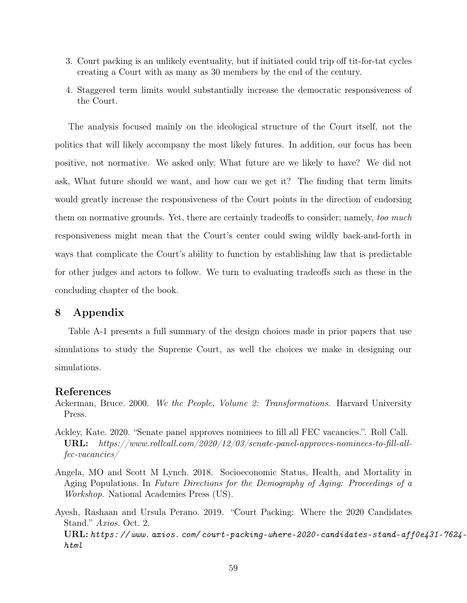- 3. Court packing is an unlikely eventuality, but if initiated could trip off tit-for-tat cycles creating a Court with as many as 30 members by the end of the century.
- 4. Staggered term limits would substantially increase the democratic responsiveness of the Court.

The analysis focused mainly on the ideological structure of the Court itself, not the politics that will likely accompany the most likely futures. In addition, our focus has been positive, not normative. We asked only, What future are we likely to have? We did not ask, What future should we want, and how can we get it? The finding that term limits would greatly increase the responsiveness of the Court points in the direction of endorsing them on normative grounds. Yet, there are certainly tradeoffs to consider; namely, too much responsiveness might mean that the Court's center could swing wildly back-and-forth in ways that complicate the Court's ability to function by establishing law that is predictable for other judges and actors to follow. We turn to evaluating tradeoffs such as these in the concluding chapter of the book.

## 8 Appendix

Table A-1 presents a full summary of the design choices made in prior papers that use simulations to study the Supreme Court, as well the choices we make in designing our simulations.

## References

- Ackerman, Bruce. 2000. We the People, Volume 2: Transformations. Harvard University Press.
- Ackley, Kate. 2020. "Senate panel approves nominees to fill all FEC vacancies.". Roll Call. URL: https://www.rollcall.com/2020/12/03/senate-panel-approves-nominees-to-fill-allfec-vacancies/
- Angela, MO and Scott M Lynch. 2018. Socioeconomic Status, Health, and Mortality in Aging Populations. In Future Directions for the Demography of Aging: Proceedings of a Workshop. National Academies Press (US).
- Ayesh, Rashaan and Ursula Perano. 2019. "Court Packing: Where the 2020 Candidates Stand." Axios. Oct. 2.  $URL: *https://www. *axis*. com/court-packing-where-2020-candidates-stand-aff0e431-7624*$ html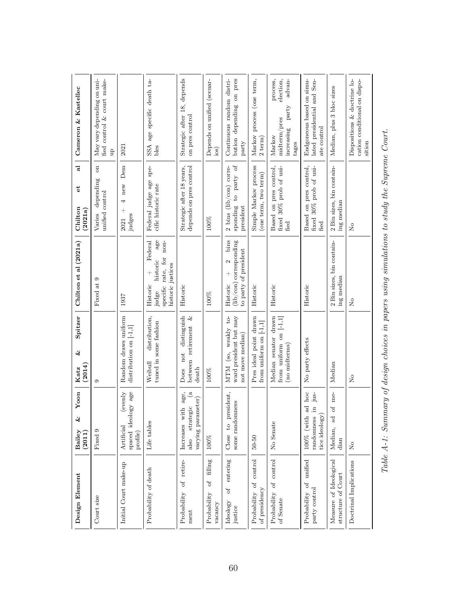| Cameron & Kastellec                   | May vary depending on uni-<br>fied control & court make-<br>$\mathbf{u}$ | 2021                                                     | age specific death ta-<br>SSA<br>bles                                                                                | Strategic after 18, depends<br>on pres control                                                   | Depends on unified (scenar-<br>$\log$   | Continuous random distri-<br>bution depending on pres<br>party                                              | Markov process (one term,<br>$2$ term)                         | election,<br>process,<br>advan-<br>$\operatorname{part}$<br>midterm/pres<br>increasing<br>Markov<br>tages | Endgoneous based on simu-<br>lated presidential and Sen-<br>ate control          | Median, plus 3 bloc sizes                    | Dispositions & doctrine lo-<br>cation conditional on dispo-<br>sition |
|---------------------------------------|--------------------------------------------------------------------------|----------------------------------------------------------|----------------------------------------------------------------------------------------------------------------------|--------------------------------------------------------------------------------------------------|-----------------------------------------|-------------------------------------------------------------------------------------------------------------|----------------------------------------------------------------|-----------------------------------------------------------------------------------------------------------|----------------------------------------------------------------------------------|----------------------------------------------|-----------------------------------------------------------------------|
| ನ<br>ť<br>Chilton<br>(2021a)          | $\overline{\mathrm{m}}$<br>depending<br>unified control<br>Varies        | Dem<br>new<br>4<br>$\overline{+}$<br>judges<br>2021      | spec<br>Federal judge age<br>cific historic rate                                                                     | Strategic after 18 years,<br>depends on pres control                                             | 100%                                    | sponding to party of<br>2 bins (lib/con) corre-<br>president                                                | Simple Markov process<br>(one term, two term)                  | Based on pres control,<br>fixed 30% prob of uni-<br>fied                                                  | Based on pres control,<br>fixed 30% prob of uni-<br>fied                         | 2 Bin sizes, bin contain-<br>ing median      | å                                                                     |
| Chilton et al (2021a)                 | Fixed at 9                                                               | 1937                                                     | Federal<br>$\mathsf{age}$<br>specific rate, for non-<br>historic<br>historic justices<br>$^{+}$<br>Historic<br>judge | Historic                                                                                         | 100%                                    | bins<br>${\rm (lib/con)}$ corresponding<br>to party of president<br>$\mathbf{\Omega}$<br>$^{+}$<br>Historic | Historic                                                       | Historic                                                                                                  | Historic                                                                         | 2 Bin sizes, bin contain-<br>ing median      | å                                                                     |
| Spitzer<br>$\infty$<br>(2014)<br>Katz | c                                                                        | Random draws uniform<br>distribution on [-1,1]           | distribution,<br>tuned in some fashion<br>Weibull                                                                    | distinguish<br>between retirement $\&$<br>$\operatorname*{not}% \mathcal{M}(n)$<br>death<br>Does | 100%                                    | ward president but may<br>MTM (so, weakly to-<br>not move median)                                           | Pres ideal point drawn<br>from uniform on $[-1,1]$             | Median senator drawn<br>from uniform on $[-1,1]$<br>(no midterms)                                         | No party effects                                                                 | Median                                       | $\mathsf{S}^{\mathsf{O}}$                                             |
| Yoon<br>$\infty$<br>Bailey<br>(2011)  | Fixed 9                                                                  | (evenly<br>spaced ideology age<br>Artificial<br>profile) | Life tables                                                                                                          | $\mathbf{g}$<br>age,<br>varying parameter)<br>strategic<br>Increases with<br>also                | 100%                                    | resident,<br>some randomness<br>ă<br>$\overline{c}$<br>Close                                                | $50 - 50$                                                      | No Senate                                                                                                 | hoc<br>ius-<br>್ದ<br>$\ddot{\rm n}$<br>tice ideology<br>100% (with<br>randomness | me-<br>$\sigma$<br>S<br>Median,<br>dian      | ż                                                                     |
| Design Element                        | Court size                                                               | Initial Court make-up                                    | Probability of death                                                                                                 | retire-<br>Jo<br>Probability<br>ment                                                             | filling<br>Jo<br>Probability<br>vacancy | entering<br>$\sigma$<br>Ideology<br>justice                                                                 | $\mbox{control}$<br>$\sigma$ f<br>of presidency<br>Probability | of control<br>Probability<br>of Senate                                                                    | unified<br>Probability of<br>party control                                       | Measure of Ideological<br>structure of Court | Doctrinal Implications                                                |

Table A-1: Summary of design choices in papers using simulations to study the Supreme Court. Table A-1: Summary of design choices in papers using simulations to study the Supreme Court.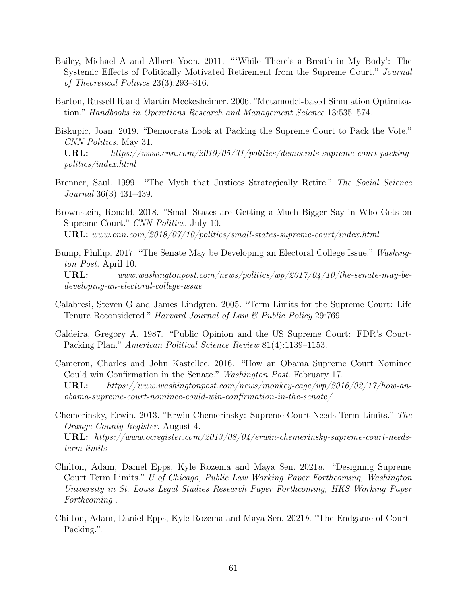- Bailey, Michael A and Albert Yoon. 2011. "'While There's a Breath in My Body': The Systemic Effects of Politically Motivated Retirement from the Supreme Court." Journal of Theoretical Politics 23(3):293–316.
- Barton, Russell R and Martin Meckesheimer. 2006. "Metamodel-based Simulation Optimization." Handbooks in Operations Research and Management Science 13:535–574.
- Biskupic, Joan. 2019. "Democrats Look at Packing the Supreme Court to Pack the Vote." CNN Politics. May 31. URL: https://www.cnn.com/2019/05/31/politics/democrats-supreme-court-packing-

politics/index.html

- Brenner, Saul. 1999. "The Myth that Justices Strategically Retire." The Social Science Journal 36(3):431–439.
- Brownstein, Ronald. 2018. "Small States are Getting a Much Bigger Say in Who Gets on Supreme Court." CNN Politics. July 10. URL: www.cnn.com/2018/07/10/politics/small-states-supreme-court/index.html
- Bump, Phillip. 2017. "The Senate May be Developing an Electoral College Issue." Washington Post. April 10.  $\textbf{URL:} \quad www.washington post.com/news/politics/wp/2017/04/10/the-senate-may-be$ developing-an-electoral-college-issue
- Calabresi, Steven G and James Lindgren. 2005. "Term Limits for the Supreme Court: Life Tenure Reconsidered." *Harvard Journal of Law & Public Policy* 29:769.
- Caldeira, Gregory A. 1987. "Public Opinion and the US Supreme Court: FDR's Court-Packing Plan." American Political Science Review 81(4):1139–1153.
- Cameron, Charles and John Kastellec. 2016. "How an Obama Supreme Court Nominee Could win Confirmation in the Senate." Washington Post. February 17. URL: https://www.washingtonpost.com/news/monkey-cage/wp/2016/02/17/how-an- $\it{obama-supreme-court-nominee-could-win-conformation-in-the-senate/}$
- Chemerinsky, Erwin. 2013. "Erwin Chemerinsky: Supreme Court Needs Term Limits." The Orange County Register. August 4. URL: https://www.ocregister.com/2013/08/04/erwin-chemerinsky-supreme-court-needsterm-limits
- Chilton, Adam, Daniel Epps, Kyle Rozema and Maya Sen. 2021a. "Designing Supreme Court Term Limits." U of Chicago, Public Law Working Paper Forthcoming, Washington University in St. Louis Legal Studies Research Paper Forthcoming, HKS Working Paper Forthcoming .
- Chilton, Adam, Daniel Epps, Kyle Rozema and Maya Sen. 2021b. "The Endgame of Court-Packing.".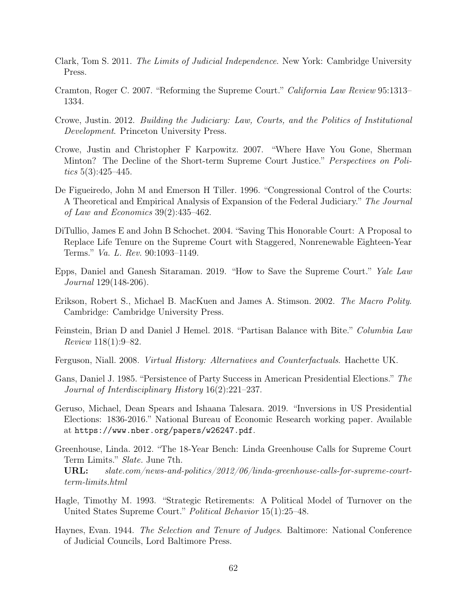- Clark, Tom S. 2011. The Limits of Judicial Independence. New York: Cambridge University Press.
- Cramton, Roger C. 2007. "Reforming the Supreme Court." California Law Review 95:1313– 1334.
- Crowe, Justin. 2012. Building the Judiciary: Law, Courts, and the Politics of Institutional Development. Princeton University Press.
- Crowe, Justin and Christopher F Karpowitz. 2007. "Where Have You Gone, Sherman Minton? The Decline of the Short-term Supreme Court Justice." *Perspectives on Poli*tics  $5(3):425-445$ .
- De Figueiredo, John M and Emerson H Tiller. 1996. "Congressional Control of the Courts: A Theoretical and Empirical Analysis of Expansion of the Federal Judiciary." The Journal of Law and Economics 39(2):435–462.
- DiTullio, James E and John B Schochet. 2004. "Saving This Honorable Court: A Proposal to Replace Life Tenure on the Supreme Court with Staggered, Nonrenewable Eighteen-Year Terms." Va. L. Rev. 90:1093–1149.
- Epps, Daniel and Ganesh Sitaraman. 2019. "How to Save the Supreme Court." Yale Law Journal 129(148-206).
- Erikson, Robert S., Michael B. MacKuen and James A. Stimson. 2002. The Macro Polity. Cambridge: Cambridge University Press.
- Feinstein, Brian D and Daniel J Hemel. 2018. "Partisan Balance with Bite." Columbia Law Review 118(1):9–82.
- Ferguson, Niall. 2008. Virtual History: Alternatives and Counterfactuals. Hachette UK.
- Gans, Daniel J. 1985. "Persistence of Party Success in American Presidential Elections." The Journal of Interdisciplinary History 16(2):221–237.
- Geruso, Michael, Dean Spears and Ishaana Talesara. 2019. "Inversions in US Presidential Elections: 1836-2016." National Bureau of Economic Research working paper. Available at https://www.nber.org/papers/w26247.pdf.
- Greenhouse, Linda. 2012. "The 18-Year Bench: Linda Greenhouse Calls for Supreme Court Term Limits." Slate. June 7th. URL: slate.com/news-and-politics/2012/06/linda-greenhouse-calls-for-supreme-courtterm-limits.html
- Hagle, Timothy M. 1993. "Strategic Retirements: A Political Model of Turnover on the United States Supreme Court." Political Behavior 15(1):25–48.
- Haynes, Evan. 1944. The Selection and Tenure of Judges. Baltimore: National Conference of Judicial Councils, Lord Baltimore Press.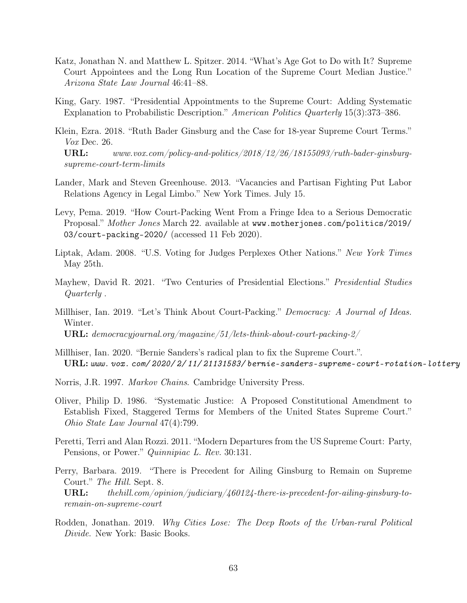- Katz, Jonathan N. and Matthew L. Spitzer. 2014. "What's Age Got to Do with It? Supreme Court Appointees and the Long Run Location of the Supreme Court Median Justice." Arizona State Law Journal 46:41–88.
- King, Gary. 1987. "Presidential Appointments to the Supreme Court: Adding Systematic Explanation to Probabilistic Description." American Politics Quarterly 15(3):373–386.
- Klein, Ezra. 2018. "Ruth Bader Ginsburg and the Case for 18-year Supreme Court Terms." Vox Dec. 26. URL: www.vox.com/policy-and-politics/2018/12/26/18155093/ruth-bader-ginsburgsupreme-court-term-limits
- Lander, Mark and Steven Greenhouse. 2013. "Vacancies and Partisan Fighting Put Labor Relations Agency in Legal Limbo." New York Times. July 15.
- Levy, Pema. 2019. "How Court-Packing Went From a Fringe Idea to a Serious Democratic Proposal." Mother Jones March 22. available at www.motherjones.com/politics/2019/ 03/court-packing-2020/ (accessed 11 Feb 2020).
- Liptak, Adam. 2008. "U.S. Voting for Judges Perplexes Other Nations." New York Times May 25th.
- Mayhew, David R. 2021. "Two Centuries of Presidential Elections." Presidential Studies Quarterly .
- Millhiser, Ian. 2019. "Let's Think About Court-Packing." Democracy: A Journal of Ideas. Winter. URL: democracyjournal.org/magazine/51/lets-think-about-court-packing-2/
- Millhiser, Ian. 2020. "Bernie Sanders's radical plan to fix the Supreme Court.". URL: www. vox. com/ 2020/ 2/ 11/ 21131583/ bernie-sanders-supreme-court-rotation-lottery
- Norris, J.R. 1997. Markov Chains. Cambridge University Press.
- Oliver, Philip D. 1986. "Systematic Justice: A Proposed Constitutional Amendment to Establish Fixed, Staggered Terms for Members of the United States Supreme Court." Ohio State Law Journal 47(4):799.
- Peretti, Terri and Alan Rozzi. 2011. "Modern Departures from the US Supreme Court: Party, Pensions, or Power." Quinnipiac L. Rev. 30:131.
- Perry, Barbara. 2019. "There is Precedent for Ailing Ginsburg to Remain on Supreme Court." The Hill. Sept. 8. URL: the hill.com/opinion/judiciary/460124-there-is-precedent-for-ailing-ginsburg-toremain-on-supreme-court
- Rodden, Jonathan. 2019. Why Cities Lose: The Deep Roots of the Urban-rural Political Divide. New York: Basic Books.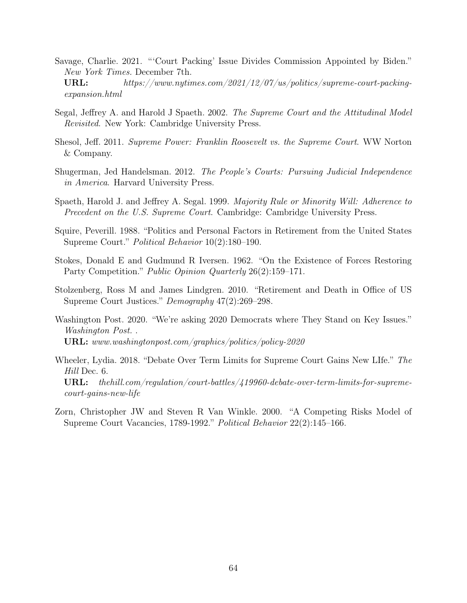Savage, Charlie. 2021. "'Court Packing' Issue Divides Commission Appointed by Biden." New York Times. December 7th. URL: https://www.nytimes.com/2021/12/07/us/politics/supreme-court-packing-

expansion.html

- Segal, Jeffrey A. and Harold J Spaeth. 2002. The Supreme Court and the Attitudinal Model Revisited. New York: Cambridge University Press.
- Shesol, Jeff. 2011. Supreme Power: Franklin Roosevelt vs. the Supreme Court. WW Norton & Company.
- Shugerman, Jed Handelsman. 2012. The People's Courts: Pursuing Judicial Independence in America. Harvard University Press.
- Spaeth, Harold J. and Jeffrey A. Segal. 1999. Majority Rule or Minority Will: Adherence to Precedent on the U.S. Supreme Court. Cambridge: Cambridge University Press.
- Squire, Peverill. 1988. "Politics and Personal Factors in Retirement from the United States Supreme Court." Political Behavior 10(2):180–190.
- Stokes, Donald E and Gudmund R Iversen. 1962. "On the Existence of Forces Restoring Party Competition." *Public Opinion Quarterly* 26(2):159–171.
- Stolzenberg, Ross M and James Lindgren. 2010. "Retirement and Death in Office of US Supreme Court Justices." Demography 47(2):269–298.
- Washington Post. 2020. "We're asking 2020 Democrats where They Stand on Key Issues." Washington Post. . URL: www.washingtonpost.com/graphics/politics/policy-2020
- Wheeler, Lydia. 2018. "Debate Over Term Limits for Supreme Court Gains New LIfe." The Hill Dec. 6. URL: the hill.com/regulation/court-battles/419960-debate-over-term-limits-for-supremecourt-gains-new-life
- Zorn, Christopher JW and Steven R Van Winkle. 2000. "A Competing Risks Model of Supreme Court Vacancies, 1789-1992." Political Behavior 22(2):145–166.